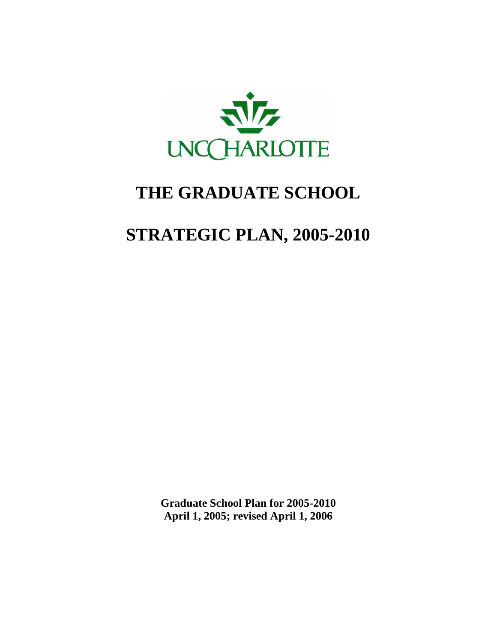

# **THE GRADUATE SCHOOL**

# **STRATEGIC PLAN, 2005-2010**

**Graduate School Plan for 2005-2010 April 1, 2005; revised April 1, 2006**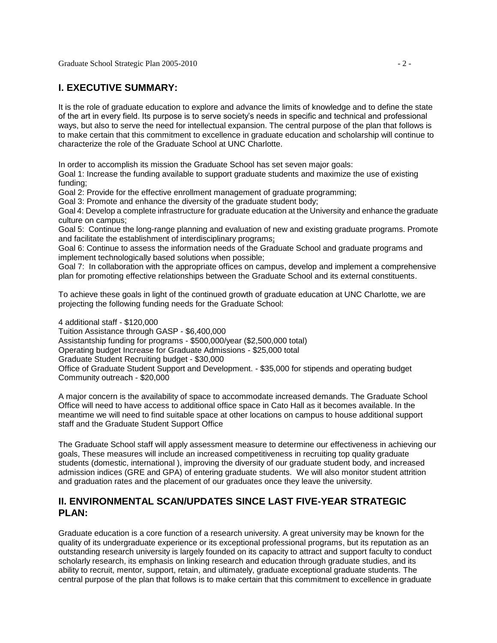# **I. EXECUTIVE SUMMARY:**

It is the role of graduate education to explore and advance the limits of knowledge and to define the state of the art in every field. Its purpose is to serve society's needs in specific and technical and professional ways, but also to serve the need for intellectual expansion. The central purpose of the plan that follows is to make certain that this commitment to excellence in graduate education and scholarship will continue to characterize the role of the Graduate School at UNC Charlotte.

In order to accomplish its mission the Graduate School has set seven major goals:

Goal 1: Increase the funding available to support graduate students and maximize the use of existing funding;

Goal 2: Provide for the effective enrollment management of graduate programming;

Goal 3: Promote and enhance the diversity of the graduate student body;

Goal 4: Develop a complete infrastructure for graduate education at the University and enhance the graduate culture on campus;

Goal 5: Continue the long-range planning and evaluation of new and existing graduate programs. Promote and facilitate the establishment of interdisciplinary programs;

Goal 6: Continue to assess the information needs of the Graduate School and graduate programs and implement technologically based solutions when possible;

Goal 7: In collaboration with the appropriate offices on campus, develop and implement a comprehensive plan for promoting effective relationships between the Graduate School and its external constituents.

To achieve these goals in light of the continued growth of graduate education at UNC Charlotte, we are projecting the following funding needs for the Graduate School:

4 additional staff - \$120,000 Tuition Assistance through GASP - \$6,400,000 Assistantship funding for programs - \$500,000/year (\$2,500,000 total) Operating budget Increase for Graduate Admissions - \$25,000 total Graduate Student Recruiting budget - \$30,000 Office of Graduate Student Support and Development. - \$35,000 for stipends and operating budget Community outreach - \$20,000

A major concern is the availability of space to accommodate increased demands. The Graduate School Office will need to have access to additional office space in Cato Hall as it becomes available. In the meantime we will need to find suitable space at other locations on campus to house additional support staff and the Graduate Student Support Office

The Graduate School staff will apply assessment measure to determine our effectiveness in achieving our goals, These measures will include an increased competitiveness in recruiting top quality graduate students (domestic, international ), improving the diversity of our graduate student body, and increased admission indices (GRE and GPA) of entering graduate students. We will also monitor student attrition and graduation rates and the placement of our graduates once they leave the university.

# **II. ENVIRONMENTAL SCAN/UPDATES SINCE LAST FIVE-YEAR STRATEGIC PLAN:**

Graduate education is a core function of a research university. A great university may be known for the quality of its undergraduate experience or its exceptional professional programs, but its reputation as an outstanding research university is largely founded on its capacity to attract and support faculty to conduct scholarly research, its emphasis on linking research and education through graduate studies, and its ability to recruit, mentor, support, retain, and ultimately, graduate exceptional graduate students. The central purpose of the plan that follows is to make certain that this commitment to excellence in graduate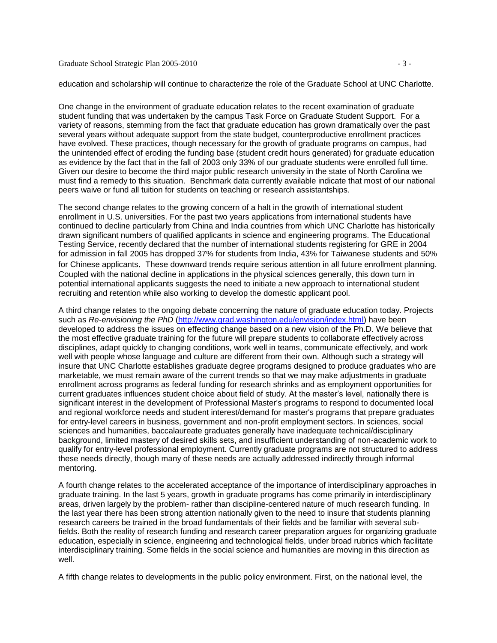#### Graduate School Strategic Plan 2005-2010 - 3 -

education and scholarship will continue to characterize the role of the Graduate School at UNC Charlotte.

One change in the environment of graduate education relates to the recent examination of graduate student funding that was undertaken by the campus Task Force on Graduate Student Support. For a variety of reasons, stemming from the fact that graduate education has grown dramatically over the past several years without adequate support from the state budget, counterproductive enrollment practices have evolved. These practices, though necessary for the growth of graduate programs on campus, had the unintended effect of eroding the funding base (student credit hours generated) for graduate education as evidence by the fact that in the fall of 2003 only 33% of our graduate students were enrolled full time. Given our desire to become the third major public research university in the state of North Carolina we must find a remedy to this situation. Benchmark data currently available indicate that most of our national peers waive or fund all tuition for students on teaching or research assistantships.

The second change relates to the growing concern of a halt in the growth of international student enrollment in U.S. universities. For the past two years applications from international students have continued to decline particularly from China and India countries from which UNC Charlotte has historically drawn significant numbers of qualified applicants in science and engineering programs. The Educational Testing Service, recently declared that the number of international students registering for GRE in 2004 for admission in fall 2005 has dropped 37% for students from India, 43% for Taiwanese students and 50% for Chinese applicants. These downward trends require serious attention in all future enrollment planning. Coupled with the national decline in applications in the physical sciences generally, this down turn in potential international applicants suggests the need to initiate a new approach to international student recruiting and retention while also working to develop the domestic applicant pool.

A third change relates to the ongoing debate concerning the nature of graduate education today. Projects such as *Re-envisioning the PhD* [\(http://www.grad.washington.edu/envision/index.html\)](http://www.grad.washington.edu/envision/index.html) have been developed to address the issues on effecting change based on a new vision of the Ph.D. We believe that the most effective graduate training for the future will prepare students to collaborate effectively across disciplines, adapt quickly to changing conditions, work well in teams, communicate effectively, and work well with people whose language and culture are different from their own. Although such a strategy will insure that UNC Charlotte establishes graduate degree programs designed to produce graduates who are marketable, we must remain aware of the current trends so that we may make adjustments in graduate enrollment across programs as federal funding for research shrinks and as employment opportunities for current graduates influences student choice about field of study. At the master's level, nationally there is significant interest in the development of Professional Master's programs to respond to documented local and regional workforce needs and student interest/demand for master's programs that prepare graduates for entry-level careers in business, government and non-profit employment sectors. In sciences, social sciences and humanities, baccalaureate graduates generally have inadequate technical/disciplinary background, limited mastery of desired skills sets, and insufficient understanding of non-academic work to qualify for entry-level professional employment. Currently graduate programs are not structured to address these needs directly, though many of these needs are actually addressed indirectly through informal mentoring.

A fourth change relates to the accelerated acceptance of the importance of interdisciplinary approaches in graduate training. In the last 5 years, growth in graduate programs has come primarily in interdisciplinary areas, driven largely by the problem- rather than discipline-centered nature of much research funding. In the last year there has been strong attention nationally given to the need to insure that students planning research careers be trained in the broad fundamentals of their fields and be familiar with several subfields. Both the reality of research funding and research career preparation argues for organizing graduate education, especially in science, engineering and technological fields, under broad rubrics which facilitate interdisciplinary training. Some fields in the social science and humanities are moving in this direction as well.

A fifth change relates to developments in the public policy environment. First, on the national level, the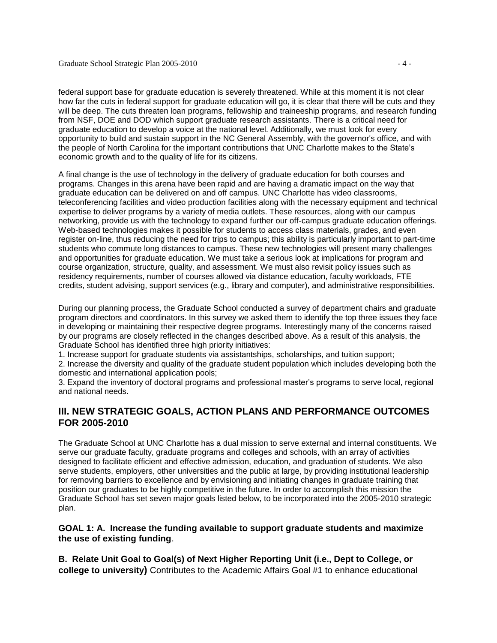federal support base for graduate education is severely threatened. While at this moment it is not clear how far the cuts in federal support for graduate education will go, it is clear that there will be cuts and they will be deep. The cuts threaten loan programs, fellowship and traineeship programs, and research funding from NSF, DOE and DOD which support graduate research assistants. There is a critical need for graduate education to develop a voice at the national level. Additionally, we must look for every opportunity to build and sustain support in the NC General Assembly, with the governor's office, and with the people of North Carolina for the important contributions that UNC Charlotte makes to the State's economic growth and to the quality of life for its citizens.

A final change is the use of technology in the delivery of graduate education for both courses and programs. Changes in this arena have been rapid and are having a dramatic impact on the way that graduate education can be delivered on and off campus. UNC Charlotte has video classrooms, teleconferencing facilities and video production facilities along with the necessary equipment and technical expertise to deliver programs by a variety of media outlets. These resources, along with our campus networking, provide us with the technology to expand further our off-campus graduate education offerings. Web-based technologies makes it possible for students to access class materials, grades, and even register on-line, thus reducing the need for trips to campus; this ability is particularly important to part-time students who commute long distances to campus. These new technologies will present many challenges and opportunities for graduate education. We must take a serious look at implications for program and course organization, structure, quality, and assessment. We must also revisit policy issues such as residency requirements, number of courses allowed via distance education, faculty workloads, FTE credits, student advising, support services (e.g., library and computer), and administrative responsibilities.

During our planning process, the Graduate School conducted a survey of department chairs and graduate program directors and coordinators. In this survey we asked them to identify the top three issues they face in developing or maintaining their respective degree programs. Interestingly many of the concerns raised by our programs are closely reflected in the changes described above. As a result of this analysis, the Graduate School has identified three high priority initiatives:

1. Increase support for graduate students via assistantships, scholarships, and tuition support;

2. Increase the diversity and quality of the graduate student population which includes developing both the domestic and international application pools;

3. Expand the inventory of doctoral programs and professional master's programs to serve local, regional and national needs.

# **III. NEW STRATEGIC GOALS, ACTION PLANS AND PERFORMANCE OUTCOMES FOR 2005-2010**

The Graduate School at UNC Charlotte has a dual mission to serve external and internal constituents. We serve our graduate faculty, graduate programs and colleges and schools, with an array of activities designed to facilitate efficient and effective admission, education, and graduation of students. We also serve students, employers, other universities and the public at large, by providing institutional leadership for removing barriers to excellence and by envisioning and initiating changes in graduate training that position our graduates to be highly competitive in the future. In order to accomplish this mission the Graduate School has set seven major goals listed below, to be incorporated into the 2005-2010 strategic plan.

#### **GOAL 1: A. Increase the funding available to support graduate students and maximize the use of existing funding**.

**B. Relate Unit Goal to Goal(s) of Next Higher Reporting Unit (i.e., Dept to College, or college to university)** Contributes to the Academic Affairs Goal #1 to enhance educational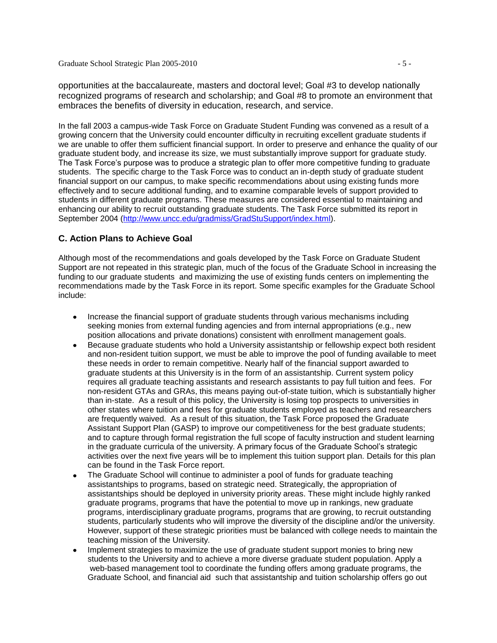Graduate School Strategic Plan 2005-2010 - 5 -

opportunities at the baccalaureate, masters and doctoral level; Goal #3 to develop nationally recognized programs of research and scholarship; and Goal #8 to promote an environment that embraces the benefits of diversity in education, research, and service.

In the fall 2003 a campus-wide Task Force on Graduate Student Funding was convened as a result of a growing concern that the University could encounter difficulty in recruiting excellent graduate students if we are unable to offer them sufficient financial support. In order to preserve and enhance the quality of our graduate student body, and increase its size, we must substantially improve support for graduate study. The Task Force's purpose was to produce a strategic plan to offer more competitive funding to graduate students. The specific charge to the Task Force was to conduct an in-depth study of graduate student financial support on our campus, to make specific recommendations about using existing funds more effectively and to secure additional funding, and to examine comparable levels of support provided to students in different graduate programs. These measures are considered essential to maintaining and enhancing our ability to recruit outstanding graduate students. The Task Force submitted its report in September 2004 [\(http://www.uncc.edu/gradmiss/GradStuSupport/index.html\)](http://www.uncc.edu/gradmiss/GradStuSupport/index.html).

### **C. Action Plans to Achieve Goal**

Although most of the recommendations and goals developed by the Task Force on Graduate Student Support are not repeated in this strategic plan, much of the focus of the Graduate School in increasing the funding to our graduate students and maximizing the use of existing funds centers on implementing the recommendations made by the Task Force in its report. Some specific examples for the Graduate School include:

- Increase the financial support of graduate students through various mechanisms including seeking monies from external funding agencies and from internal appropriations (e.g., new position allocations and private donations) consistent with enrollment management goals.
- Because graduate students who hold a University assistantship or fellowship expect both resident and non-resident tuition support, we must be able to improve the pool of funding available to meet these needs in order to remain competitive. Nearly half of the financial support awarded to graduate students at this University is in the form of an assistantship. Current system policy requires all graduate teaching assistants and research assistants to pay full tuition and fees. For non-resident GTAs and GRAs, this means paying out-of-state tuition, which is substantially higher than in-state. As a result of this policy, the University is losing top prospects to universities in other states where tuition and fees for graduate students employed as teachers and researchers are frequently waived. As a result of this situation, the Task Force proposed the Graduate Assistant Support Plan (GASP) to improve our competitiveness for the best graduate students; and to capture through formal registration the full scope of faculty instruction and student learning in the graduate curricula of the university. A primary focus of the Graduate School's strategic activities over the next five years will be to implement this tuition support plan. Details for this plan can be found in the Task Force report.
- The Graduate School will continue to administer a pool of funds for graduate teaching assistantships to programs, based on strategic need. Strategically, the appropriation of assistantships should be deployed in university priority areas. These might include highly ranked graduate programs, programs that have the potential to move up in rankings, new graduate programs, interdisciplinary graduate programs, programs that are growing, to recruit outstanding students, particularly students who will improve the diversity of the discipline and/or the university. However, support of these strategic priorities must be balanced with college needs to maintain the teaching mission of the University.
- Implement strategies to maximize the use of graduate student support monies to bring new students to the University and to achieve a more diverse graduate student population. Apply a web-based management tool to coordinate the funding offers among graduate programs, the Graduate School, and financial aid such that assistantship and tuition scholarship offers go out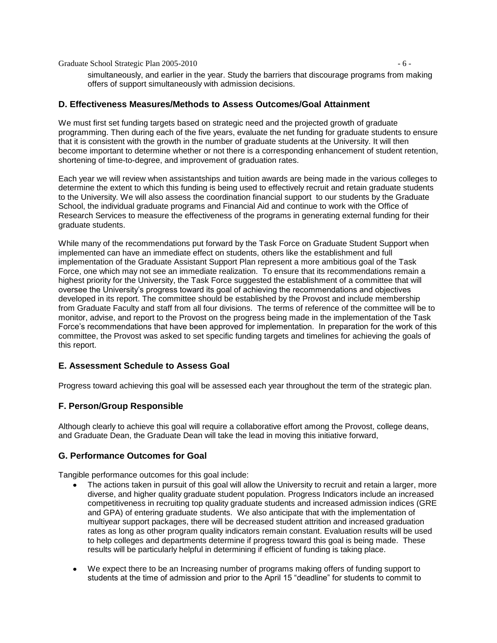Graduate School Strategic Plan 2005-2010 - 6 -

simultaneously, and earlier in the year. Study the barriers that discourage programs from making offers of support simultaneously with admission decisions.

#### **D. Effectiveness Measures/Methods to Assess Outcomes/Goal Attainment**

We must first set funding targets based on strategic need and the projected growth of graduate programming. Then during each of the five years, evaluate the net funding for graduate students to ensure that it is consistent with the growth in the number of graduate students at the University. It will then become important to determine whether or not there is a corresponding enhancement of student retention, shortening of time-to-degree, and improvement of graduation rates.

Each year we will review when assistantships and tuition awards are being made in the various colleges to determine the extent to which this funding is being used to effectively recruit and retain graduate students to the University. We will also assess the coordination financial support to our students by the Graduate School, the individual graduate programs and Financial Aid and continue to work with the Office of Research Services to measure the effectiveness of the programs in generating external funding for their graduate students.

While many of the recommendations put forward by the Task Force on Graduate Student Support when implemented can have an immediate effect on students, others like the establishment and full implementation of the Graduate Assistant Support Plan represent a more ambitious goal of the Task Force, one which may not see an immediate realization. To ensure that its recommendations remain a highest priority for the University, the Task Force suggested the establishment of a committee that will oversee the University's progress toward its goal of achieving the recommendations and objectives developed in its report. The committee should be established by the Provost and include membership from Graduate Faculty and staff from all four divisions. The terms of reference of the committee will be to monitor, advise, and report to the Provost on the progress being made in the implementation of the Task Force's recommendations that have been approved for implementation. In preparation for the work of this committee, the Provost was asked to set specific funding targets and timelines for achieving the goals of this report.

#### **E. Assessment Schedule to Assess Goal**

Progress toward achieving this goal will be assessed each year throughout the term of the strategic plan.

#### **F. Person/Group Responsible**

Although clearly to achieve this goal will require a collaborative effort among the Provost, college deans, and Graduate Dean, the Graduate Dean will take the lead in moving this initiative forward,

#### **G. Performance Outcomes for Goal**

Tangible performance outcomes for this goal include:

- The actions taken in pursuit of this goal will allow the University to recruit and retain a larger, more diverse, and higher quality graduate student population. Progress Indicators include an increased competitiveness in recruiting top quality graduate students and increased admission indices (GRE and GPA) of entering graduate students. We also anticipate that with the implementation of multiyear support packages, there will be decreased student attrition and increased graduation rates as long as other program quality indicators remain constant. Evaluation results will be used to help colleges and departments determine if progress toward this goal is being made. These results will be particularly helpful in determining if efficient of funding is taking place.
- We expect there to be an Increasing number of programs making offers of funding support to students at the time of admission and prior to the April 15 "deadline" for students to commit to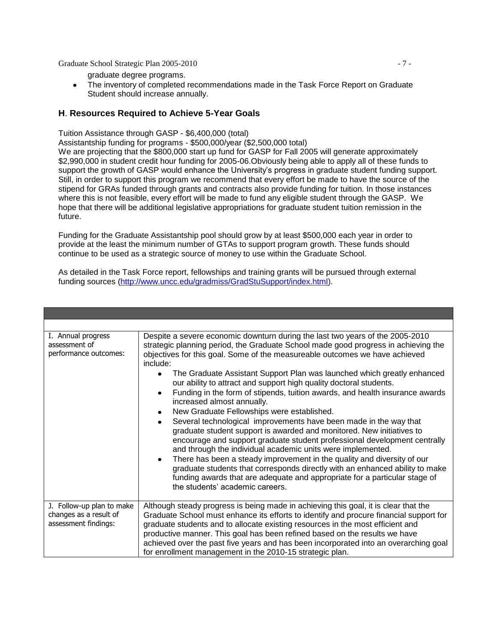Graduate School Strategic Plan 2005-2010 - 7 -

The inventory of completed recommendations made in the Task Force Report on Graduate  $\bullet$ Student should increase annually.

### **H**. **Resources Required to Achieve 5-Year Goals**

Tuition Assistance through GASP - \$6,400,000 (total)

Assistantship funding for programs - \$500,000/year (\$2,500,000 total)

We are projecting that the \$800,000 start up fund for GASP for Fall 2005 will generate approximately \$2,990,000 in student credit hour funding for 2005-06.Obviously being able to apply all of these funds to support the growth of GASP would enhance the University's progress in graduate student funding support. Still, in order to support this program we recommend that every effort be made to have the source of the stipend for GRAs funded through grants and contracts also provide funding for tuition. In those instances where this is not feasible, every effort will be made to fund any eligible student through the GASP. We hope that there will be additional legislative appropriations for graduate student tuition remission in the future.

Funding for the Graduate Assistantship pool should grow by at least \$500,000 each year in order to provide at the least the minimum number of GTAs to support program growth. These funds should continue to be used as a strategic source of money to use within the Graduate School.

As detailed in the Task Force report, fellowships and training grants will be pursued through external funding sources [\(http://www.uncc.edu/gradmiss/GradStuSupport/index.html\)](http://www.uncc.edu/gradmiss/GradStuSupport/index.html).

| I. Annual progress<br>assessment of<br>performance outcomes:                | Despite a severe economic downturn during the last two years of the 2005-2010<br>strategic planning period, the Graduate School made good progress in achieving the<br>objectives for this goal. Some of the measureable outcomes we have achieved<br>include:<br>The Graduate Assistant Support Plan was launched which greatly enhanced<br>$\bullet$<br>our ability to attract and support high quality doctoral students.<br>Funding in the form of stipends, tuition awards, and health insurance awards<br>increased almost annually.<br>New Graduate Fellowships were established.<br>Several technological improvements have been made in the way that<br>graduate student support is awarded and monitored. New initiatives to<br>encourage and support graduate student professional development centrally<br>and through the individual academic units were implemented.<br>There has been a steady improvement in the quality and diversity of our<br>graduate students that corresponds directly with an enhanced ability to make<br>funding awards that are adequate and appropriate for a particular stage of<br>the students' academic careers. |
|-----------------------------------------------------------------------------|----------------------------------------------------------------------------------------------------------------------------------------------------------------------------------------------------------------------------------------------------------------------------------------------------------------------------------------------------------------------------------------------------------------------------------------------------------------------------------------------------------------------------------------------------------------------------------------------------------------------------------------------------------------------------------------------------------------------------------------------------------------------------------------------------------------------------------------------------------------------------------------------------------------------------------------------------------------------------------------------------------------------------------------------------------------------------------------------------------------------------------------------------------------|
| J. Follow-up plan to make<br>changes as a result of<br>assessment findings: | Although steady progress is being made in achieving this goal, it is clear that the<br>Graduate School must enhance its efforts to identify and procure financial support for<br>graduate students and to allocate existing resources in the most efficient and<br>productive manner. This goal has been refined based on the results we have<br>achieved over the past five years and has been incorporated into an overarching goal<br>for enrollment management in the 2010-15 strategic plan.                                                                                                                                                                                                                                                                                                                                                                                                                                                                                                                                                                                                                                                              |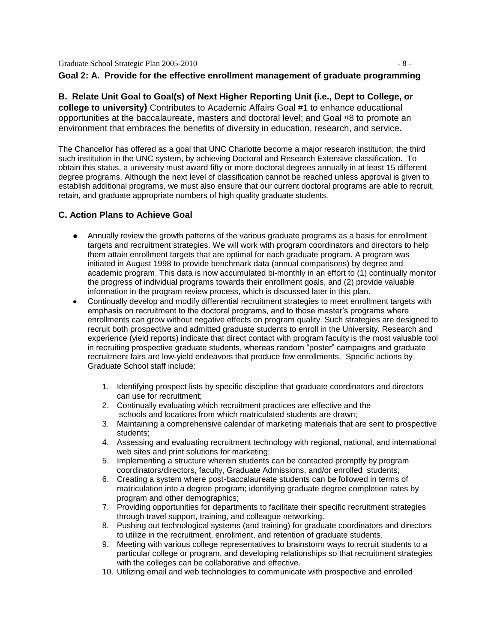Graduate School Strategic Plan 2005-2010 - 8 -

#### **Goal 2: A. Provide for the effective enrollment management of graduate programming**

**B. Relate Unit Goal to Goal(s) of Next Higher Reporting Unit (i.e., Dept to College, or college to university)** Contributes to Academic Affairs Goal #1 to enhance educational opportunities at the baccalaureate, masters and doctoral level; and Goal #8 to promote an environment that embraces the benefits of diversity in education, research, and service.

The Chancellor has offered as a goal that UNC Charlotte become a major research institution; the third such institution in the UNC system, by achieving Doctoral and Research Extensive classification. To obtain this status, a university must award fifty or more doctoral degrees annually in at least 15 different degree programs. Although the next level of classification cannot be reached unless approval is given to establish additional programs, we must also ensure that our current doctoral programs are able to recruit, retain, and graduate appropriate numbers of high quality graduate students.

#### **C. Action Plans to Achieve Goal**

- Annually review the growth patterns of the various graduate programs as a basis for enrollment targets and recruitment strategies. We will work with program coordinators and directors to help them attain enrollment targets that are optimal for each graduate program. A program was initiated in August 1998 to provide benchmark data (annual comparisons) by degree and academic program. This data is now accumulated bi-monthly in an effort to (1) continually monitor the progress of individual programs towards their enrollment goals, and (2) provide valuable information in the program review process, which is discussed later in this plan.
- Continually develop and modify differential recruitment strategies to meet enrollment targets with emphasis on recruitment to the doctoral programs, and to those master's programs where enrollments can grow without negative effects on program quality. Such strategies are designed to recruit both prospective and admitted graduate students to enroll in the University. Research and experience (yield reports) indicate that direct contact with program faculty is the most valuable tool in recruiting prospective graduate students, whereas random "poster" campaigns and graduate recruitment fairs are low-yield endeavors that produce few enrollments. Specific actions by Graduate School staff include:
	- 1. Identifying prospect lists by specific discipline that graduate coordinators and directors can use for recruitment;
	- 2. Continually evaluating which recruitment practices are effective and the schools and locations from which matriculated students are drawn;
	- 3. Maintaining a comprehensive calendar of marketing materials that are sent to prospective students;
	- 4. Assessing and evaluating recruitment technology with regional, national, and international web sites and print solutions for marketing;
	- 5. Implementing a structure wherein students can be contacted promptly by program coordinators/directors, faculty, Graduate Admissions, and/or enrolled students;
	- 6. Creating a system where post-baccalaureate students can be followed in terms of matriculation into a degree program; identifying graduate degree completion rates by program and other demographics;
	- 7. Providing opportunities for departments to facilitate their specific recruitment strategies through travel support, training, and colleague networking.
	- 8. Pushing out technological systems (and training) for graduate coordinators and directors to utilize in the recruitment, enrollment, and retention of graduate students.
	- 9. Meeting with various college representatives to brainstorm ways to recruit students to a particular college or program, and developing relationships so that recruitment strategies with the colleges can be collaborative and effective.
	- 10. Utilizing email and web technologies to communicate with prospective and enrolled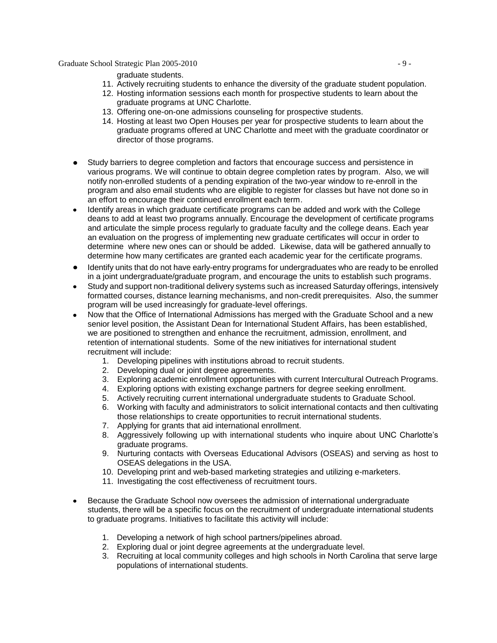Graduate School Strategic Plan 2005-2010  $-9 -$ 

graduate students.

- 11. Actively recruiting students to enhance the diversity of the graduate student population.
- 12. Hosting information sessions each month for prospective students to learn about the graduate programs at UNC Charlotte.
- 13. Offering one-on-one admissions counseling for prospective students.
- 14. Hosting at least two Open Houses per year for prospective students to learn about the graduate programs offered at UNC Charlotte and meet with the graduate coordinator or director of those programs.
- Study barriers to degree completion and factors that encourage success and persistence in various programs. We will continue to obtain degree completion rates by program. Also, we will notify non-enrolled students of a pending expiration of the two-year window to re-enroll in the program and also email students who are eligible to register for classes but have not done so in an effort to encourage their continued enrollment each term.
- Identify areas in which graduate certificate programs can be added and work with the College deans to add at least two programs annually. Encourage the development of certificate programs and articulate the simple process regularly to graduate faculty and the college deans. Each year an evaluation on the progress of implementing new graduate certificates will occur in order to determine where new ones can or should be added. Likewise, data will be gathered annually to determine how many certificates are granted each academic year for the certificate programs.
- Identify units that do not have early-entry programs for undergraduates who are ready to be enrolled in a joint undergraduate/graduate program, and encourage the units to establish such programs.
- Study and support non-traditional delivery systems such as increased Saturday offerings, intensively formatted courses, distance learning mechanisms, and non-credit prerequisites. Also, the summer program will be used increasingly for graduate-level offerings.
- Now that the Office of International Admissions has merged with the Graduate School and a new senior level position, the Assistant Dean for International Student Affairs, has been established, we are positioned to strengthen and enhance the recruitment, admission, enrollment, and retention of international students. Some of the new initiatives for international student recruitment will include:
	- 1. Developing pipelines with institutions abroad to recruit students.
	- 2. Developing dual or joint degree agreements.
	- 3. Exploring academic enrollment opportunities with current Intercultural Outreach Programs.
	- 4. Exploring options with existing exchange partners for degree seeking enrollment.
	- 5. Actively recruiting current international undergraduate students to Graduate School.
	- 6. Working with faculty and administrators to solicit international contacts and then cultivating those relationships to create opportunities to recruit international students.
	- 7. Applying for grants that aid international enrollment.
	- 8. Aggressively following up with international students who inquire about UNC Charlotte's graduate programs.
	- 9. Nurturing contacts with Overseas Educational Advisors (OSEAS) and serving as host to OSEAS delegations in the USA.
	- 10. Developing print and web-based marketing strategies and utilizing e-marketers.
	- 11. Investigating the cost effectiveness of recruitment tours.
- Because the Graduate School now oversees the admission of international undergraduate students, there will be a specific focus on the recruitment of undergraduate international students to graduate programs. Initiatives to facilitate this activity will include:
	- 1. Developing a network of high school partners/pipelines abroad.
	- 2. Exploring dual or joint degree agreements at the undergraduate level.
	- 3. Recruiting at local community colleges and high schools in North Carolina that serve large populations of international students.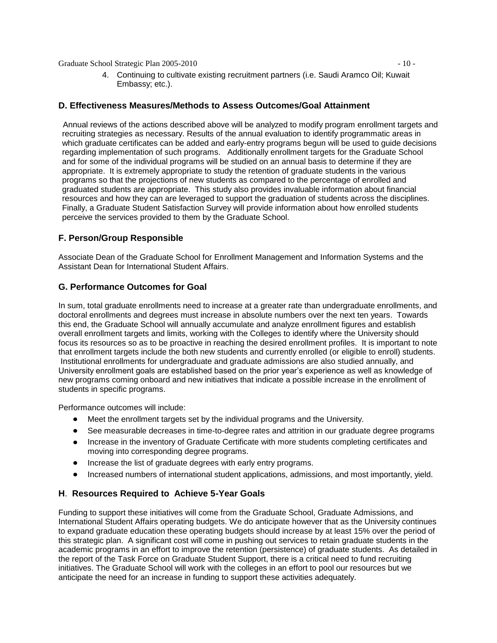Graduate School Strategic Plan 2005-2010 - 10 -

4. Continuing to cultivate existing recruitment partners (i.e. Saudi Aramco Oil; Kuwait Embassy; etc.).

#### **D. Effectiveness Measures/Methods to Assess Outcomes/Goal Attainment**

 Annual reviews of the actions described above will be analyzed to modify program enrollment targets and recruiting strategies as necessary. Results of the annual evaluation to identify programmatic areas in which graduate certificates can be added and early-entry programs begun will be used to guide decisions regarding implementation of such programs. Additionally enrollment targets for the Graduate School and for some of the individual programs will be studied on an annual basis to determine if they are appropriate. It is extremely appropriate to study the retention of graduate students in the various programs so that the projections of new students as compared to the percentage of enrolled and graduated students are appropriate. This study also provides invaluable information about financial resources and how they can are leveraged to support the graduation of students across the disciplines. Finally, a Graduate Student Satisfaction Survey will provide information about how enrolled students perceive the services provided to them by the Graduate School.

### **F. Person/Group Responsible**

Associate Dean of the Graduate School for Enrollment Management and Information Systems and the Assistant Dean for International Student Affairs.

#### **G. Performance Outcomes for Goal**

In sum, total graduate enrollments need to increase at a greater rate than undergraduate enrollments, and doctoral enrollments and degrees must increase in absolute numbers over the next ten years. Towards this end, the Graduate School will annually accumulate and analyze enrollment figures and establish overall enrollment targets and limits, working with the Colleges to identify where the University should focus its resources so as to be proactive in reaching the desired enrollment profiles. It is important to note that enrollment targets include the both new students and currently enrolled (or eligible to enroll) students. Institutional enrollments for undergraduate and graduate admissions are also studied annually, and University enrollment goals are established based on the prior year's experience as well as knowledge of new programs coming onboard and new initiatives that indicate a possible increase in the enrollment of students in specific programs.

Performance outcomes will include:

- Meet the enrollment targets set by the individual programs and the University.
- See measurable decreases in time-to-degree rates and attrition in our graduate degree programs
- Increase in the inventory of Graduate Certificate with more students completing certificates and moving into corresponding degree programs.
- Increase the list of graduate degrees with early entry programs.
- Increased numbers of international student applications, admissions, and most importantly, yield.

# **H**. **Resources Required to Achieve 5-Year Goals**

Funding to support these initiatives will come from the Graduate School, Graduate Admissions, and International Student Affairs operating budgets. We do anticipate however that as the University continues to expand graduate education these operating budgets should increase by at least 15% over the period of this strategic plan. A significant cost will come in pushing out services to retain graduate students in the academic programs in an effort to improve the retention (persistence) of graduate students. As detailed in the report of the Task Force on Graduate Student Support, there is a critical need to fund recruiting initiatives. The Graduate School will work with the colleges in an effort to pool our resources but we anticipate the need for an increase in funding to support these activities adequately.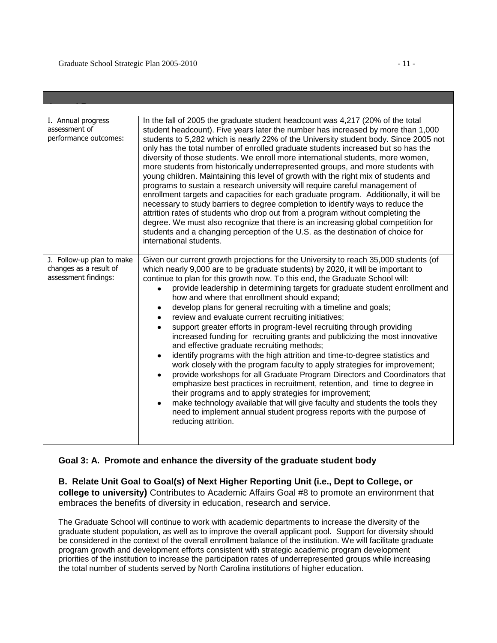| I. Annual progress<br>assessment of<br>performance outcomes:                | In the fall of 2005 the graduate student headcount was 4,217 (20% of the total<br>student headcount). Five years later the number has increased by more than 1,000<br>students to 5,282 which is nearly 22% of the University student body. Since 2005 not<br>only has the total number of enrolled graduate students increased but so has the<br>diversity of those students. We enroll more international students, more women,<br>more students from historically underrepresented groups, and more students with<br>young children. Maintaining this level of growth with the right mix of students and<br>programs to sustain a research university will require careful management of<br>enrollment targets and capacities for each graduate program. Additionally, it will be<br>necessary to study barriers to degree completion to identify ways to reduce the<br>attrition rates of students who drop out from a program without completing the<br>degree. We must also recognize that there is an increasing global competition for<br>students and a changing perception of the U.S. as the destination of choice for<br>international students.                                                                                                                                                                             |  |  |  |
|-----------------------------------------------------------------------------|------------------------------------------------------------------------------------------------------------------------------------------------------------------------------------------------------------------------------------------------------------------------------------------------------------------------------------------------------------------------------------------------------------------------------------------------------------------------------------------------------------------------------------------------------------------------------------------------------------------------------------------------------------------------------------------------------------------------------------------------------------------------------------------------------------------------------------------------------------------------------------------------------------------------------------------------------------------------------------------------------------------------------------------------------------------------------------------------------------------------------------------------------------------------------------------------------------------------------------------------------------------------------------------------------------------------------------------|--|--|--|
| J. Follow-up plan to make<br>changes as a result of<br>assessment findings: | Given our current growth projections for the University to reach 35,000 students (of<br>which nearly 9,000 are to be graduate students) by 2020, it will be important to<br>continue to plan for this growth now. To this end, the Graduate School will:<br>provide leadership in determining targets for graduate student enrollment and<br>how and where that enrollment should expand;<br>develop plans for general recruiting with a timeline and goals;<br>٠<br>review and evaluate current recruiting initiatives;<br>$\bullet$<br>support greater efforts in program-level recruiting through providing<br>increased funding for recruiting grants and publicizing the most innovative<br>and effective graduate recruiting methods;<br>identify programs with the high attrition and time-to-degree statistics and<br>$\bullet$<br>work closely with the program faculty to apply strategies for improvement;<br>provide workshops for all Graduate Program Directors and Coordinators that<br>$\bullet$<br>emphasize best practices in recruitment, retention, and time to degree in<br>their programs and to apply strategies for improvement;<br>make technology available that will give faculty and students the tools they<br>need to implement annual student progress reports with the purpose of<br>reducing attrition. |  |  |  |

#### **Goal 3: A. Promote and enhance the diversity of the graduate student body**

**B. Relate Unit Goal to Goal(s) of Next Higher Reporting Unit (i.e., Dept to College, or college to university)** Contributes to Academic Affairs Goal #8 to promote an environment that embraces the benefits of diversity in education, research and service.

The Graduate School will continue to work with academic departments to increase the diversity of the graduate student population, as well as to improve the overall applicant pool. Support for diversity should be considered in the context of the overall enrollment balance of the institution. We will facilitate graduate program growth and development efforts consistent with strategic academic program development priorities of the institution to increase the participation rates of underrepresented groups while increasing the total number of students served by North Carolina institutions of higher education.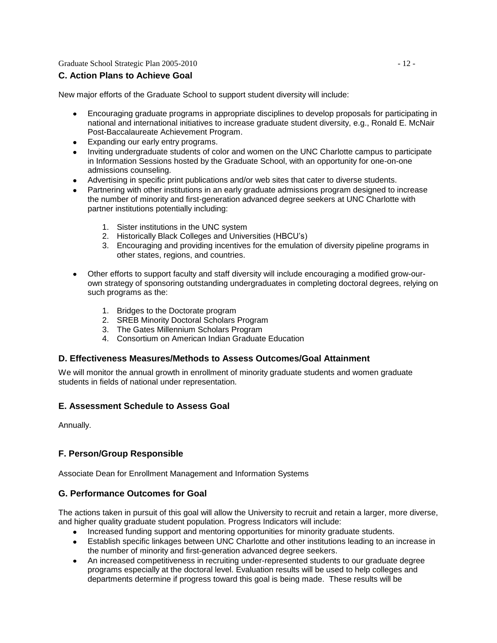Graduate School Strategic Plan 2005-2010 - 12 -

### **C. Action Plans to Achieve Goal**

New major efforts of the Graduate School to support student diversity will include:

- Encouraging graduate programs in appropriate disciplines to develop proposals for participating in  $\bullet$ national and international initiatives to increase graduate student diversity, e.g., Ronald E. McNair Post-Baccalaureate Achievement Program.
- Expanding our early entry programs.
- Inviting undergraduate students of color and women on the UNC Charlotte campus to participate in Information Sessions hosted by the Graduate School, with an opportunity for one-on-one admissions counseling.
- Advertising in specific print publications and/or web sites that cater to diverse students.
- Partnering with other institutions in an early graduate admissions program designed to increase the number of minority and first-generation advanced degree seekers at UNC Charlotte with partner institutions potentially including:
	- 1. Sister institutions in the UNC system
	- 2. Historically Black Colleges and Universities (HBCU's)
	- 3. Encouraging and providing incentives for the emulation of diversity pipeline programs in other states, regions, and countries.
- Other efforts to support faculty and staff diversity will include encouraging a modified grow-ourown strategy of sponsoring outstanding undergraduates in completing doctoral degrees, relying on such programs as the:
	- 1. Bridges to the Doctorate program
	- 2. SREB Minority Doctoral Scholars Program
	- 3. The Gates Millennium Scholars Program
	- 4. Consortium on American Indian Graduate Education

#### **D. Effectiveness Measures/Methods to Assess Outcomes/Goal Attainment**

We will monitor the annual growth in enrollment of minority graduate students and women graduate students in fields of national under representation.

#### **E. Assessment Schedule to Assess Goal**

Annually.

# **F. Person/Group Responsible**

Associate Dean for Enrollment Management and Information Systems

#### **G. Performance Outcomes for Goal**

The actions taken in pursuit of this goal will allow the University to recruit and retain a larger, more diverse, and higher quality graduate student population. Progress Indicators will include:

- Increased funding support and mentoring opportunities for minority graduate students.
- Establish specific linkages between UNC Charlotte and other institutions leading to an increase in the number of minority and first-generation advanced degree seekers.
- An increased competitiveness in recruiting under-represented students to our graduate degree programs especially at the doctoral level. Evaluation results will be used to help colleges and departments determine if progress toward this goal is being made. These results will be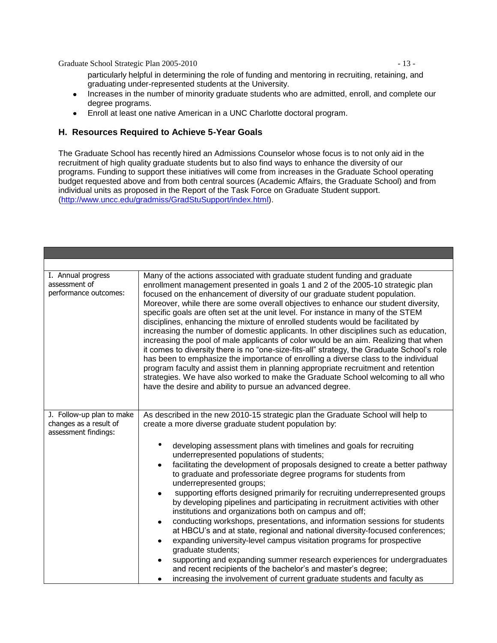Graduate School Strategic Plan 2005-2010 - 13 -

particularly helpful in determining the role of funding and mentoring in recruiting, retaining, and graduating under-represented students at the University.

- Increases in the number of minority graduate students who are admitted, enroll, and complete our degree programs.
- Enroll at least one native American in a UNC Charlotte doctoral program.

#### **H. Resources Required to Achieve 5-Year Goals**

The Graduate School has recently hired an Admissions Counselor whose focus is to not only aid in the recruitment of high quality graduate students but to also find ways to enhance the diversity of our programs. Funding to support these initiatives will come from increases in the Graduate School operating budget requested above and from both central sources (Academic Affairs, the Graduate School) and from individual units as proposed in the Report of the Task Force on Graduate Student support. [\(http://www.uncc.edu/gradmiss/GradStuSupport/index.html\)](http://www.uncc.edu/gradmiss/GradStuSupport/index.html).

| I. Annual progress<br>assessment of<br>performance outcomes:                | Many of the actions associated with graduate student funding and graduate<br>enrollment management presented in goals 1 and 2 of the 2005-10 strategic plan<br>focused on the enhancement of diversity of our graduate student population.<br>Moreover, while there are some overall objectives to enhance our student diversity,<br>specific goals are often set at the unit level. For instance in many of the STEM<br>disciplines, enhancing the mixture of enrolled students would be facilitated by<br>increasing the number of domestic applicants. In other disciplines such as education,<br>increasing the pool of male applicants of color would be an aim. Realizing that when<br>it comes to diversity there is no "one-size-fits-all" strategy, the Graduate School's role<br>has been to emphasize the importance of enrolling a diverse class to the individual<br>program faculty and assist them in planning appropriate recruitment and retention<br>strategies. We have also worked to make the Graduate School welcoming to all who<br>have the desire and ability to pursue an advanced degree.                                                                                   |
|-----------------------------------------------------------------------------|--------------------------------------------------------------------------------------------------------------------------------------------------------------------------------------------------------------------------------------------------------------------------------------------------------------------------------------------------------------------------------------------------------------------------------------------------------------------------------------------------------------------------------------------------------------------------------------------------------------------------------------------------------------------------------------------------------------------------------------------------------------------------------------------------------------------------------------------------------------------------------------------------------------------------------------------------------------------------------------------------------------------------------------------------------------------------------------------------------------------------------------------------------------------------------------------------------|
| J. Follow-up plan to make<br>changes as a result of<br>assessment findings: | As described in the new 2010-15 strategic plan the Graduate School will help to<br>create a more diverse graduate student population by:<br>developing assessment plans with timelines and goals for recruiting<br>underrepresented populations of students;<br>facilitating the development of proposals designed to create a better pathway<br>to graduate and professoriate degree programs for students from<br>underrepresented groups;<br>supporting efforts designed primarily for recruiting underrepresented groups<br>$\bullet$<br>by developing pipelines and participating in recruitment activities with other<br>institutions and organizations both on campus and off;<br>conducting workshops, presentations, and information sessions for students<br>٠<br>at HBCU's and at state, regional and national diversity-focused conferences;<br>expanding university-level campus visitation programs for prospective<br>$\bullet$<br>graduate students;<br>supporting and expanding summer research experiences for undergraduates<br>$\bullet$<br>and recent recipients of the bachelor's and master's degree;<br>increasing the involvement of current graduate students and faculty as |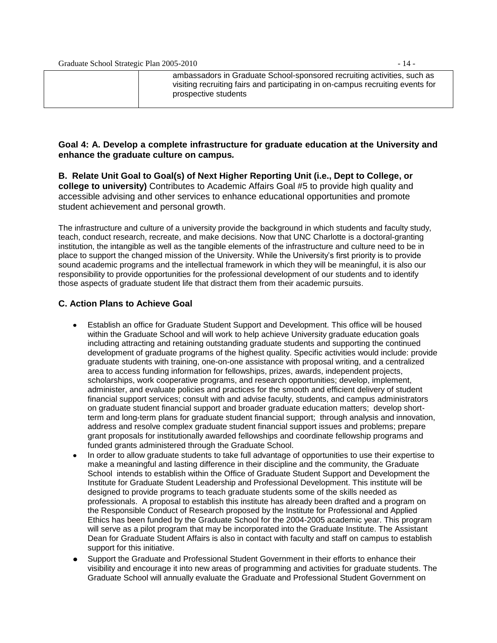| ambassadors in Graduate School-sponsored recruiting activities, such as        |
|--------------------------------------------------------------------------------|
| visiting recruiting fairs and participating in on-campus recruiting events for |
| prospective students                                                           |
|                                                                                |

#### **Goal 4: A. Develop a complete infrastructure for graduate education at the University and enhance the graduate culture on campus***.*

**B. Relate Unit Goal to Goal(s) of Next Higher Reporting Unit (i.e., Dept to College, or college to university)** Contributes to Academic Affairs Goal #5 to provide high quality and accessible advising and other services to enhance educational opportunities and promote student achievement and personal growth.

The infrastructure and culture of a university provide the background in which students and faculty study, teach, conduct research, recreate, and make decisions. Now that UNC Charlotte is a doctoral-granting institution, the intangible as well as the tangible elements of the infrastructure and culture need to be in place to support the changed mission of the University. While the University's first priority is to provide sound academic programs and the intellectual framework in which they will be meaningful, it is also our responsibility to provide opportunities for the professional development of our students and to identify those aspects of graduate student life that distract them from their academic pursuits.

#### **C. Action Plans to Achieve Goal**

- Establish an office for Graduate Student Support and Development. This office will be housed within the Graduate School and will work to help achieve University graduate education goals including attracting and retaining outstanding graduate students and supporting the continued development of graduate programs of the highest quality. Specific activities would include: provide graduate students with training, one-on-one assistance with proposal writing, and a centralized area to access funding information for fellowships, prizes, awards, independent projects, scholarships, work cooperative programs, and research opportunities; develop, implement, administer, and evaluate policies and practices for the smooth and efficient delivery of student financial support services; consult with and advise faculty, students, and campus administrators on graduate student financial support and broader graduate education matters; develop shortterm and long-term plans for graduate student financial support; through analysis and innovation, address and resolve complex graduate student financial support issues and problems; prepare grant proposals for institutionally awarded fellowships and coordinate fellowship programs and funded grants administered through the Graduate School.
- In order to allow graduate students to take full advantage of opportunities to use their expertise to make a meaningful and lasting difference in their discipline and the community, the Graduate School intends to establish within the Office of Graduate Student Support and Development the Institute for Graduate Student Leadership and Professional Development. This institute will be designed to provide programs to teach graduate students some of the skills needed as professionals. A proposal to establish this institute has already been drafted and a program on the Responsible Conduct of Research proposed by the Institute for Professional and Applied Ethics has been funded by the Graduate School for the 2004-2005 academic year. This program will serve as a pilot program that may be incorporated into the Graduate Institute. The Assistant Dean for Graduate Student Affairs is also in contact with faculty and staff on campus to establish support for this initiative.
- Support the Graduate and Professional Student Government in their efforts to enhance their visibility and encourage it into new areas of programming and activities for graduate students. The Graduate School will annually evaluate the Graduate and Professional Student Government on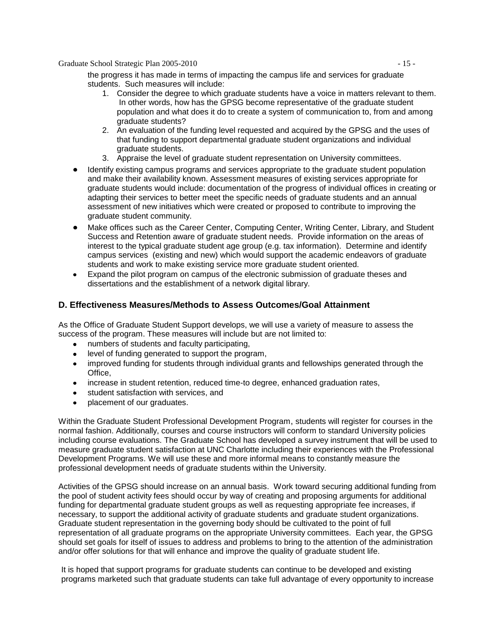Graduate School Strategic Plan 2005-2010 - 15 -

the progress it has made in terms of impacting the campus life and services for graduate students. Such measures will include:

- 1. Consider the degree to which graduate students have a voice in matters relevant to them. In other words, how has the GPSG become representative of the graduate student population and what does it do to create a system of communication to, from and among graduate students?
- 2. An evaluation of the funding level requested and acquired by the GPSG and the uses of that funding to support departmental graduate student organizations and individual graduate students.
- 3. Appraise the level of graduate student representation on University committees.
- Identify existing campus programs and services appropriate to the graduate student population and make their availability known. Assessment measures of existing services appropriate for graduate students would include: documentation of the progress of individual offices in creating or adapting their services to better meet the specific needs of graduate students and an annual assessment of new initiatives which were created or proposed to contribute to improving the graduate student community.
- Make offices such as the Career Center, Computing Center, Writing Center, Library, and Student Success and Retention aware of graduate student needs. Provide information on the areas of interest to the typical graduate student age group (e.g. tax information). Determine and identify campus services (existing and new) which would support the academic endeavors of graduate students and work to make existing service more graduate student oriented.
- Expand the pilot program on campus of the electronic submission of graduate theses and  $\bullet$ dissertations and the establishment of a network digital library.

#### **D. Effectiveness Measures/Methods to Assess Outcomes/Goal Attainment**

As the Office of Graduate Student Support develops, we will use a variety of measure to assess the success of the program. These measures will include but are not limited to:

- numbers of students and faculty participating,
- level of funding generated to support the program,
- improved funding for students through individual grants and fellowships generated through the Office,
- increase in student retention, reduced time-to degree, enhanced graduation rates,
- student satisfaction with services, and
- placement of our graduates.

Within the Graduate Student Professional Development Program, students will register for courses in the normal fashion. Additionally, courses and course instructors will conform to standard University policies including course evaluations. The Graduate School has developed a survey instrument that will be used to measure graduate student satisfaction at UNC Charlotte including their experiences with the Professional Development Programs. We will use these and more informal means to constantly measure the professional development needs of graduate students within the University.

Activities of the GPSG should increase on an annual basis. Work toward securing additional funding from the pool of student activity fees should occur by way of creating and proposing arguments for additional funding for departmental graduate student groups as well as requesting appropriate fee increases, if necessary, to support the additional activity of graduate students and graduate student organizations. Graduate student representation in the governing body should be cultivated to the point of full representation of all graduate programs on the appropriate University committees. Each year, the GPSG should set goals for itself of issues to address and problems to bring to the attention of the administration and/or offer solutions for that will enhance and improve the quality of graduate student life.

It is hoped that support programs for graduate students can continue to be developed and existing programs marketed such that graduate students can take full advantage of every opportunity to increase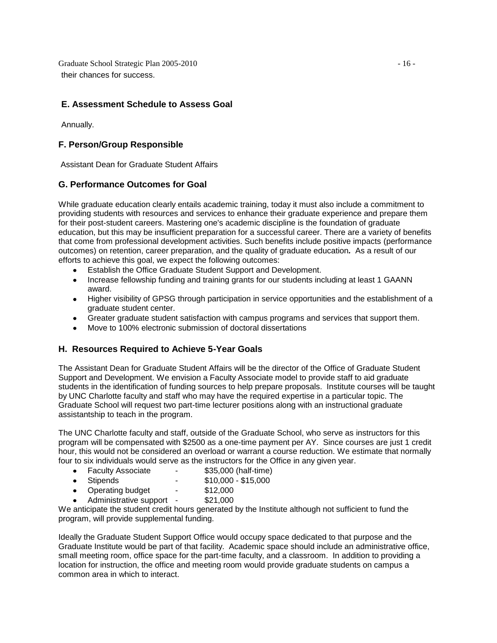Graduate School Strategic Plan 2005-2010 - 16 their chances for success.

#### **E. Assessment Schedule to Assess Goal**

Annually.

### **F. Person/Group Responsible**

Assistant Dean for Graduate Student Affairs

### **G. Performance Outcomes for Goal**

While graduate education clearly entails academic training, today it must also include a commitment to providing students with resources and services to enhance their graduate experience and prepare them for their post-student careers. Mastering one's academic discipline is the foundation of graduate education, but this may be insufficient preparation for a successful career. There are a variety of benefits that come from professional development activities. Such benefits include positive impacts (performance outcomes) on retention, career preparation, and the quality of graduate education*.* As a result of our efforts to achieve this goal, we expect the following outcomes:

- Establish the Office Graduate Student Support and Development.
- Increase fellowship funding and training grants for our students including at least 1 GAANN  $\bullet$ award.
- Higher visibility of GPSG through participation in service opportunities and the establishment of a graduate student center.
- Greater graduate student satisfaction with campus programs and services that support them.
- Move to 100% electronic submission of doctoral dissertations

#### **H. Resources Required to Achieve 5-Year Goals**

The Assistant Dean for Graduate Student Affairs will be the director of the Office of Graduate Student Support and Development. We envision a Faculty Associate model to provide staff to aid graduate students in the identification of funding sources to help prepare proposals. Institute courses will be taught by UNC Charlotte faculty and staff who may have the required expertise in a particular topic. The Graduate School will request two part-time lecturer positions along with an instructional graduate assistantship to teach in the program.

The UNC Charlotte faculty and staff, outside of the Graduate School, who serve as instructors for this program will be compensated with \$2500 as a one-time payment per AY. Since courses are just 1 credit hour, this would not be considered an overload or warrant a course reduction. We estimate that normally four to six individuals would serve as the instructors for the Office in any given year.

- Faculty Associate \$35,000 (half-time)
- Stipends \$10,000 \$15,000
- Operating budget \$12,000
- Administrative support \$21,000

We anticipate the student credit hours generated by the Institute although not sufficient to fund the program, will provide supplemental funding.

Ideally the Graduate Student Support Office would occupy space dedicated to that purpose and the Graduate Institute would be part of that facility. Academic space should include an administrative office, small meeting room, office space for the part-time faculty, and a classroom. In addition to providing a location for instruction, the office and meeting room would provide graduate students on campus a common area in which to interact.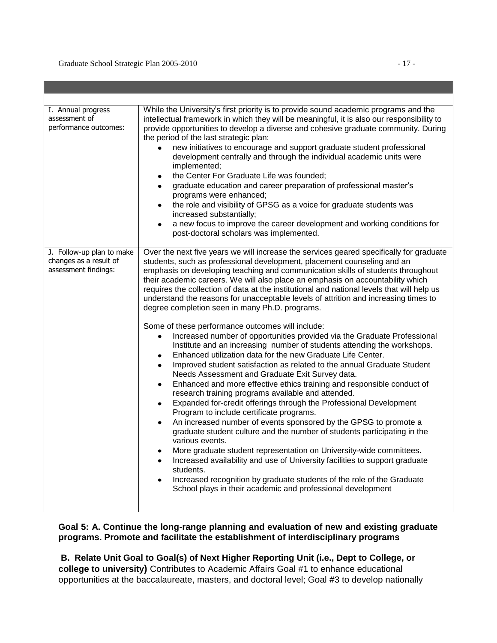| I. Annual progress<br>assessment of<br>performance outcomes:                | While the University's first priority is to provide sound academic programs and the<br>intellectual framework in which they will be meaningful, it is also our responsibility to<br>provide opportunities to develop a diverse and cohesive graduate community. During<br>the period of the last strategic plan:<br>new initiatives to encourage and support graduate student professional<br>$\bullet$<br>development centrally and through the individual academic units were<br>implemented;<br>the Center For Graduate Life was founded;<br>$\bullet$<br>graduate education and career preparation of professional master's<br>$\bullet$<br>programs were enhanced;<br>the role and visibility of GPSG as a voice for graduate students was<br>$\bullet$<br>increased substantially;<br>a new focus to improve the career development and working conditions for<br>$\bullet$<br>post-doctoral scholars was implemented.                                                                                                                                                                                                                                                                                                                                                                                                                                                                                                                                                                                                                                                                                                                                                                                                                                                                                                 |
|-----------------------------------------------------------------------------|------------------------------------------------------------------------------------------------------------------------------------------------------------------------------------------------------------------------------------------------------------------------------------------------------------------------------------------------------------------------------------------------------------------------------------------------------------------------------------------------------------------------------------------------------------------------------------------------------------------------------------------------------------------------------------------------------------------------------------------------------------------------------------------------------------------------------------------------------------------------------------------------------------------------------------------------------------------------------------------------------------------------------------------------------------------------------------------------------------------------------------------------------------------------------------------------------------------------------------------------------------------------------------------------------------------------------------------------------------------------------------------------------------------------------------------------------------------------------------------------------------------------------------------------------------------------------------------------------------------------------------------------------------------------------------------------------------------------------------------------------------------------------------------------------------------------------|
| J. Follow-up plan to make<br>changes as a result of<br>assessment findings: | Over the next five years we will increase the services geared specifically for graduate<br>students, such as professional development, placement counseling and an<br>emphasis on developing teaching and communication skills of students throughout<br>their academic careers. We will also place an emphasis on accountability which<br>requires the collection of data at the institutional and national levels that will help us<br>understand the reasons for unacceptable levels of attrition and increasing times to<br>degree completion seen in many Ph.D. programs.<br>Some of these performance outcomes will include:<br>Increased number of opportunities provided via the Graduate Professional<br>$\bullet$<br>Institute and an increasing number of students attending the workshops.<br>Enhanced utilization data for the new Graduate Life Center.<br>٠<br>Improved student satisfaction as related to the annual Graduate Student<br>$\bullet$<br>Needs Assessment and Graduate Exit Survey data.<br>Enhanced and more effective ethics training and responsible conduct of<br>$\bullet$<br>research training programs available and attended.<br>Expanded for-credit offerings through the Professional Development<br>$\bullet$<br>Program to include certificate programs.<br>An increased number of events sponsored by the GPSG to promote a<br>$\bullet$<br>graduate student culture and the number of students participating in the<br>various events.<br>More graduate student representation on University-wide committees.<br>٠<br>Increased availability and use of University facilities to support graduate<br>$\bullet$<br>students.<br>Increased recognition by graduate students of the role of the Graduate<br>$\bullet$<br>School plays in their academic and professional development |

# **Goal 5: A. Continue the long-range planning and evaluation of new and existing graduate programs. Promote and facilitate the establishment of interdisciplinary programs**

**B. Relate Unit Goal to Goal(s) of Next Higher Reporting Unit (i.e., Dept to College, or college to university)** Contributes to Academic Affairs Goal #1 to enhance educational opportunities at the baccalaureate, masters, and doctoral level; Goal #3 to develop nationally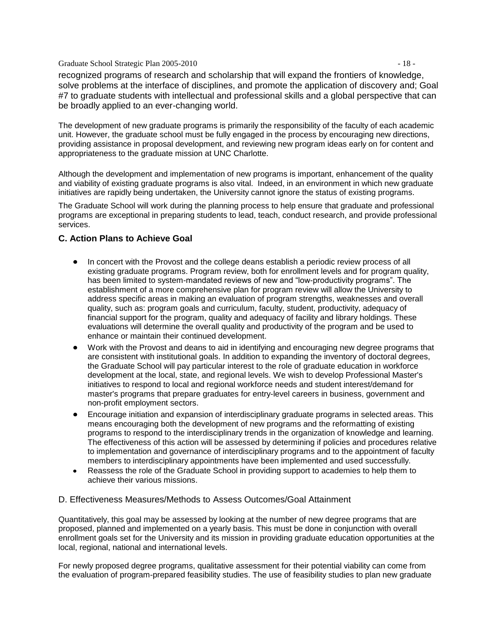#### Graduate School Strategic Plan 2005-2010 - 18 -

recognized programs of research and scholarship that will expand the frontiers of knowledge, solve problems at the interface of disciplines, and promote the application of discovery and; Goal #7 to graduate students with intellectual and professional skills and a global perspective that can be broadly applied to an ever-changing world.

The development of new graduate programs is primarily the responsibility of the faculty of each academic unit. However, the graduate school must be fully engaged in the process by encouraging new directions, providing assistance in proposal development, and reviewing new program ideas early on for content and appropriateness to the graduate mission at UNC Charlotte.

Although the development and implementation of new programs is important, enhancement of the quality and viability of existing graduate programs is also vital. Indeed, in an environment in which new graduate initiatives are rapidly being undertaken, the University cannot ignore the status of existing programs.

The Graduate School will work during the planning process to help ensure that graduate and professional programs are exceptional in preparing students to lead, teach, conduct research, and provide professional services.

#### **C. Action Plans to Achieve Goal**

- In concert with the Provost and the college deans establish a periodic review process of all existing graduate programs. Program review, both for enrollment levels and for program quality, has been limited to system-mandated reviews of new and "low-productivity programs". The establishment of a more comprehensive plan for program review will allow the University to address specific areas in making an evaluation of program strengths, weaknesses and overall quality, such as: program goals and curriculum, faculty, student, productivity, adequacy of financial support for the program, quality and adequacy of facility and library holdings. These evaluations will determine the overall quality and productivity of the program and be used to enhance or maintain their continued development.
- Work with the Provost and deans to aid in identifying and encouraging new degree programs that are consistent with institutional goals. In addition to expanding the inventory of doctoral degrees, the Graduate School will pay particular interest to the role of graduate education in workforce development at the local, state, and regional levels. We wish to develop Professional Master's initiatives to respond to local and regional workforce needs and student interest/demand for master's programs that prepare graduates for entry-level careers in business, government and non-profit employment sectors.
- Encourage initiation and expansion of interdisciplinary graduate programs in selected areas. This means encouraging both the development of new programs and the reformatting of existing programs to respond to the interdisciplinary trends in the organization of knowledge and learning. The effectiveness of this action will be assessed by determining if policies and procedures relative to implementation and governance of interdisciplinary programs and to the appointment of faculty members to interdisciplinary appointments have been implemented and used successfully.
- Reassess the role of the Graduate School in providing support to academies to help them to achieve their various missions.

#### D. Effectiveness Measures/Methods to Assess Outcomes/Goal Attainment

Quantitatively, this goal may be assessed by looking at the number of new degree programs that are proposed, planned and implemented on a yearly basis. This must be done in conjunction with overall enrollment goals set for the University and its mission in providing graduate education opportunities at the local, regional, national and international levels.

For newly proposed degree programs, qualitative assessment for their potential viability can come from the evaluation of program-prepared feasibility studies. The use of feasibility studies to plan new graduate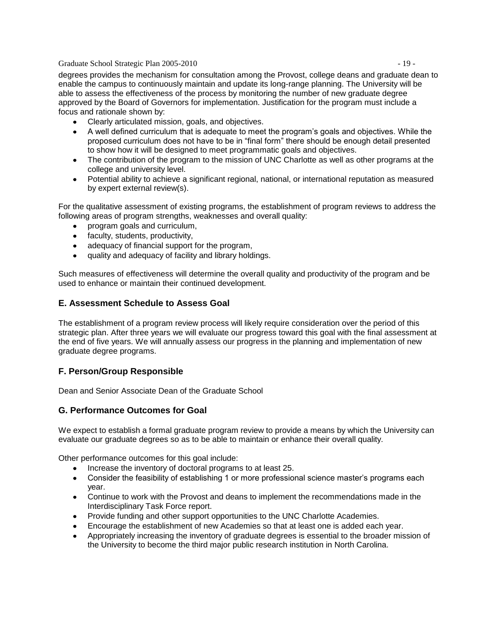Graduate School Strategic Plan 2005-2010 - 19 -

degrees provides the mechanism for consultation among the Provost, college deans and graduate dean to enable the campus to continuously maintain and update its long-range planning. The University will be able to assess the effectiveness of the process by monitoring the number of new graduate degree approved by the Board of Governors for implementation. Justification for the program must include a focus and rationale shown by:

- Clearly articulated mission, goals, and objectives.
- A well defined curriculum that is adequate to meet the program's goals and objectives. While the proposed curriculum does not have to be in "final form" there should be enough detail presented to show how it will be designed to meet programmatic goals and objectives.
- The contribution of the program to the mission of UNC Charlotte as well as other programs at the college and university level.
- Potential ability to achieve a significant regional, national, or international reputation as measured by expert external review(s).

For the qualitative assessment of existing programs, the establishment of program reviews to address the following areas of program strengths, weaknesses and overall quality:

- program goals and curriculum,
- faculty, students, productivity,
- adequacy of financial support for the program,
- quality and adequacy of facility and library holdings.

Such measures of effectiveness will determine the overall quality and productivity of the program and be used to enhance or maintain their continued development.

#### **E. Assessment Schedule to Assess Goal**

The establishment of a program review process will likely require consideration over the period of this strategic plan. After three years we will evaluate our progress toward this goal with the final assessment at the end of five years. We will annually assess our progress in the planning and implementation of new graduate degree programs.

#### **F. Person/Group Responsible**

Dean and Senior Associate Dean of the Graduate School

#### **G. Performance Outcomes for Goal**

We expect to establish a formal graduate program review to provide a means by which the University can evaluate our graduate degrees so as to be able to maintain or enhance their overall quality.

Other performance outcomes for this goal include:

- Increase the inventory of doctoral programs to at least 25.
- Consider the feasibility of establishing 1 or more professional science master's programs each year.
- Continue to work with the Provost and deans to implement the recommendations made in the Interdisciplinary Task Force report.
- Provide funding and other support opportunities to the UNC Charlotte Academies.
- Encourage the establishment of new Academies so that at least one is added each year.
- Appropriately increasing the inventory of graduate degrees is essential to the broader mission of the University to become the third major public research institution in North Carolina.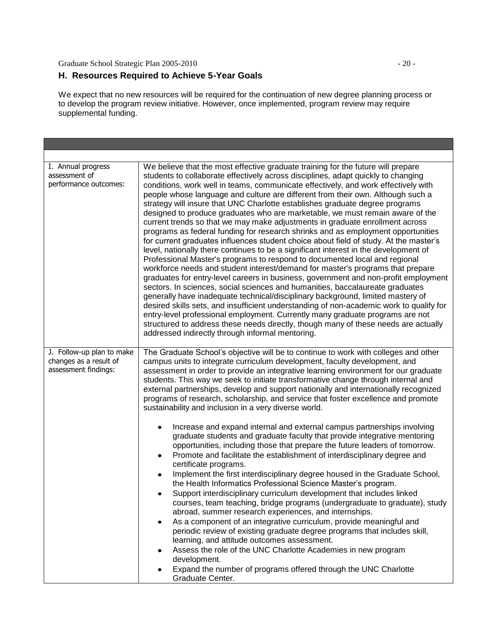Graduate School Strategic Plan 2005-2010 - 20 -

#### **H. Resources Required to Achieve 5-Year Goals**

We expect that no new resources will be required for the continuation of new degree planning process or to develop the program review initiative. However, once implemented, program review may require supplemental funding.

| I. Annual progress<br>assessment of<br>performance outcomes:                | We believe that the most effective graduate training for the future will prepare<br>students to collaborate effectively across disciplines, adapt quickly to changing<br>conditions, work well in teams, communicate effectively, and work effectively with<br>people whose language and culture are different from their own. Although such a<br>strategy will insure that UNC Charlotte establishes graduate degree programs<br>designed to produce graduates who are marketable, we must remain aware of the<br>current trends so that we may make adjustments in graduate enrollment across<br>programs as federal funding for research shrinks and as employment opportunities<br>for current graduates influences student choice about field of study. At the master's<br>level, nationally there continues to be a significant interest in the development of<br>Professional Master's programs to respond to documented local and regional<br>workforce needs and student interest/demand for master's programs that prepare<br>graduates for entry-level careers in business, government and non-profit employment<br>sectors. In sciences, social sciences and humanities, baccalaureate graduates<br>generally have inadequate technical/disciplinary background, limited mastery of<br>desired skills sets, and insufficient understanding of non-academic work to qualify for<br>entry-level professional employment. Currently many graduate programs are not<br>structured to address these needs directly, though many of these needs are actually<br>addressed indirectly through informal mentoring.                                                                               |  |  |  |  |
|-----------------------------------------------------------------------------|------------------------------------------------------------------------------------------------------------------------------------------------------------------------------------------------------------------------------------------------------------------------------------------------------------------------------------------------------------------------------------------------------------------------------------------------------------------------------------------------------------------------------------------------------------------------------------------------------------------------------------------------------------------------------------------------------------------------------------------------------------------------------------------------------------------------------------------------------------------------------------------------------------------------------------------------------------------------------------------------------------------------------------------------------------------------------------------------------------------------------------------------------------------------------------------------------------------------------------------------------------------------------------------------------------------------------------------------------------------------------------------------------------------------------------------------------------------------------------------------------------------------------------------------------------------------------------------------------------------------------------------------------------------------------------------------------|--|--|--|--|
| J. Follow-up plan to make<br>changes as a result of<br>assessment findings: | The Graduate School's objective will be to continue to work with colleges and other<br>campus units to integrate curriculum development, faculty development, and<br>assessment in order to provide an integrative learning environment for our graduate<br>students. This way we seek to initiate transformative change through internal and<br>external partnerships, develop and support nationally and internationally recognized<br>programs of research, scholarship, and service that foster excellence and promote<br>sustainability and inclusion in a very diverse world.<br>Increase and expand internal and external campus partnerships involving<br>graduate students and graduate faculty that provide integrative mentoring<br>opportunities, including those that prepare the future leaders of tomorrow.<br>Promote and facilitate the establishment of interdisciplinary degree and<br>$\bullet$<br>certificate programs.<br>Implement the first interdisciplinary degree housed in the Graduate School,<br>$\bullet$<br>the Health Informatics Professional Science Master's program.<br>Support interdisciplinary curriculum development that includes linked<br>courses, team teaching, bridge programs (undergraduate to graduate), study<br>abroad, summer research experiences, and internships.<br>As a component of an integrative curriculum, provide meaningful and<br>periodic review of existing graduate degree programs that includes skill,<br>learning, and attitude outcomes assessment.<br>Assess the role of the UNC Charlotte Academies in new program<br>development.<br>Expand the number of programs offered through the UNC Charlotte<br>Graduate Center. |  |  |  |  |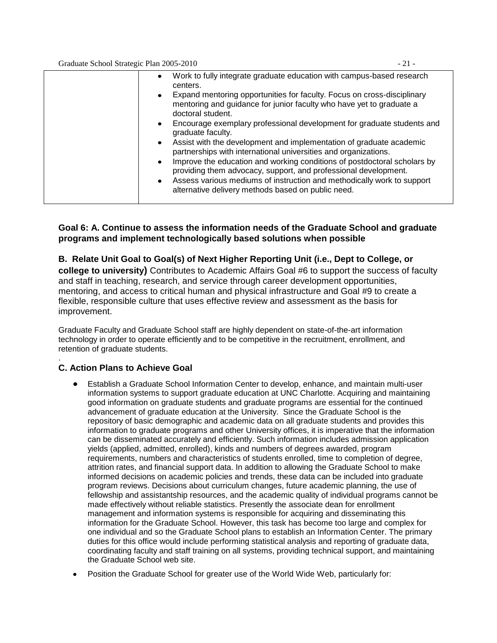Graduate School Strategic Plan 2005-2010 - 21 -

| $\bullet$ | Work to fully integrate graduate education with campus-based research<br>centers.                                                                                    |
|-----------|----------------------------------------------------------------------------------------------------------------------------------------------------------------------|
| $\bullet$ | Expand mentoring opportunities for faculty. Focus on cross-disciplinary<br>mentoring and guidance for junior faculty who have yet to graduate a<br>doctoral student. |
| $\bullet$ | Encourage exemplary professional development for graduate students and<br>graduate faculty.                                                                          |
|           | • Assist with the development and implementation of graduate academic<br>partnerships with international universities and organizations.                             |
| $\bullet$ | Improve the education and working conditions of postdoctoral scholars by<br>providing them advocacy, support, and professional development.                          |
| $\bullet$ | Assess various mediums of instruction and methodically work to support<br>alternative delivery methods based on public need.                                         |
|           |                                                                                                                                                                      |

# **Goal 6: A. Continue to assess the information needs of the Graduate School and graduate programs and implement technologically based solutions when possible**

**B. Relate Unit Goal to Goal(s) of Next Higher Reporting Unit (i.e., Dept to College, or college to university)** Contributes to Academic Affairs Goal #6 to support the success of faculty and staff in teaching, research, and service through career development opportunities, mentoring, and access to critical human and physical infrastructure and Goal #9 to create a flexible, responsible culture that uses effective review and assessment as the basis for improvement.

Graduate Faculty and Graduate School staff are highly dependent on state-of-the-art information technology in order to operate efficiently and to be competitive in the recruitment, enrollment, and retention of graduate students.

#### . **C. Action Plans to Achieve Goal**

- Establish a Graduate School Information Center to develop, enhance, and maintain multi-user information systems to support graduate education at UNC Charlotte. Acquiring and maintaining good information on graduate students and graduate programs are essential for the continued advancement of graduate education at the University. Since the Graduate School is the repository of basic demographic and academic data on all graduate students and provides this information to graduate programs and other University offices, it is imperative that the information can be disseminated accurately and efficiently. Such information includes admission application yields (applied, admitted, enrolled), kinds and numbers of degrees awarded, program requirements, numbers and characteristics of students enrolled, time to completion of degree, attrition rates, and financial support data. In addition to allowing the Graduate School to make informed decisions on academic policies and trends, these data can be included into graduate program reviews. Decisions about curriculum changes, future academic planning, the use of fellowship and assistantship resources, and the academic quality of individual programs cannot be made effectively without reliable statistics. Presently the associate dean for enrollment management and information systems is responsible for acquiring and disseminating this information for the Graduate School. However, this task has become too large and complex for one individual and so the Graduate School plans to establish an Information Center. The primary duties for this office would include performing statistical analysis and reporting of graduate data, coordinating faculty and staff training on all systems, providing technical support, and maintaining the Graduate School web site.
- Position the Graduate School for greater use of the World Wide Web, particularly for: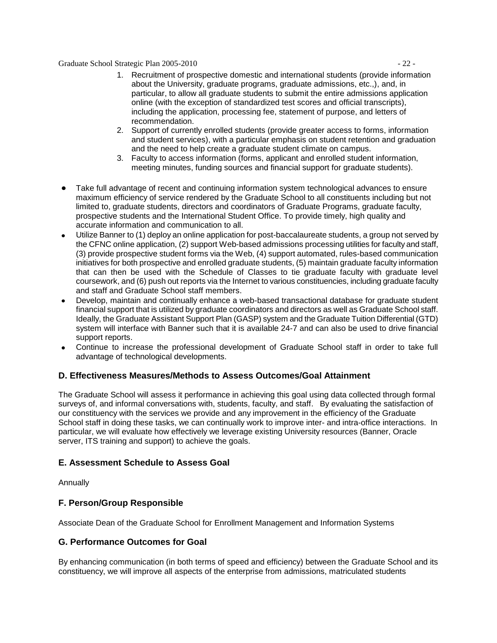Graduate School Strategic Plan 2005-2010 - 22 -

- 1. Recruitment of prospective domestic and international students (provide information about the University, graduate programs, graduate admissions, etc.,), and, in particular, to allow all graduate students to submit the entire admissions application online (with the exception of standardized test scores and official transcripts), including the application, processing fee, statement of purpose, and letters of recommendation.
- 2. Support of currently enrolled students (provide greater access to forms, information and student services), with a particular emphasis on student retention and graduation and the need to help create a graduate student climate on campus.
- 3. Faculty to access information (forms, applicant and enrolled student information, meeting minutes, funding sources and financial support for graduate students).
- Take full advantage of recent and continuing information system technological advances to ensure  $\bullet$ maximum efficiency of service rendered by the Graduate School to all constituents including but not limited to, graduate students, directors and coordinators of Graduate Programs, graduate faculty, prospective students and the International Student Office. To provide timely, high quality and accurate information and communication to all.
- Utilize Banner to (1) deploy an online application for post-baccalaureate students, a group not served by the CFNC online application, (2) support Web-based admissions processing utilities for faculty and staff, (3) provide prospective student forms via the Web, (4) support automated, rules-based communication initiatives for both prospective and enrolled graduate students, (5) maintain graduate faculty information that can then be used with the Schedule of Classes to tie graduate faculty with graduate level coursework, and (6) push out reports via the Internet to various constituencies, including graduate faculty and staff and Graduate School staff members.
- Develop, maintain and continually enhance a web-based transactional database for graduate student financial support that is utilized by graduate coordinators and directors as well as Graduate School staff. Ideally, the Graduate Assistant Support Plan (GASP) system and the Graduate Tuition Differential (GTD) system will interface with Banner such that it is available 24-7 and can also be used to drive financial support reports.
- Continue to increase the professional development of Graduate School staff in order to take full advantage of technological developments.

#### **D. Effectiveness Measures/Methods to Assess Outcomes/Goal Attainment**

The Graduate School will assess it performance in achieving this goal using data collected through formal surveys of, and informal conversations with, students, faculty, and staff. By evaluating the satisfaction of our constituency with the services we provide and any improvement in the efficiency of the Graduate School staff in doing these tasks, we can continually work to improve inter- and intra-office interactions. In particular, we will evaluate how effectively we leverage existing University resources (Banner, Oracle server, ITS training and support) to achieve the goals.

#### **E. Assessment Schedule to Assess Goal**

Annually

# **F. Person/Group Responsible**

Associate Dean of the Graduate School for Enrollment Management and Information Systems

#### **G. Performance Outcomes for Goal**

By enhancing communication (in both terms of speed and efficiency) between the Graduate School and its constituency, we will improve all aspects of the enterprise from admissions, matriculated students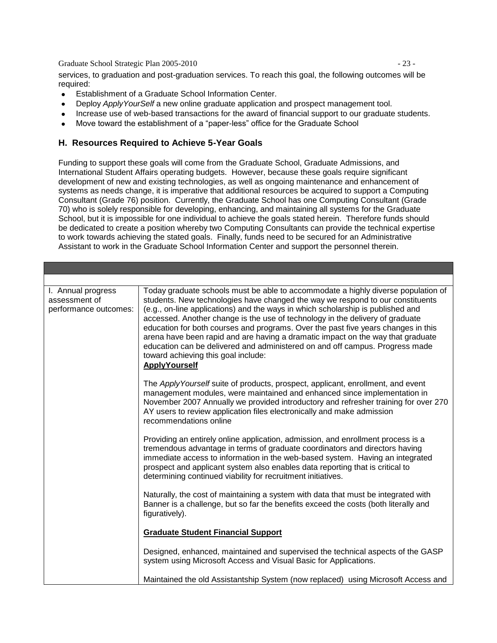Graduate School Strategic Plan 2005-2010 - 23 -

services, to graduation and post-graduation services. To reach this goal, the following outcomes will be required:

- Establishment of a Graduate School Information Center.
- Deploy *ApplyYourSelf* a new online graduate application and prospect management tool.  $\bullet$
- Increase use of web-based transactions for the award of financial support to our graduate students.
- Move toward the establishment of a "paper-less" office for the Graduate School  $\bullet$

#### **H. Resources Required to Achieve 5-Year Goals**

Funding to support these goals will come from the Graduate School, Graduate Admissions, and International Student Affairs operating budgets. However, because these goals require significant development of new and existing technologies, as well as ongoing maintenance and enhancement of systems as needs change, it is imperative that additional resources be acquired to support a Computing Consultant (Grade 76) position. Currently, the Graduate School has one Computing Consultant (Grade 70) who is solely responsible for developing, enhancing, and maintaining all systems for the Graduate School, but it is impossible for one individual to achieve the goals stated herein. Therefore funds should be dedicated to create a position whereby two Computing Consultants can provide the technical expertise to work towards achieving the stated goals. Finally, funds need to be secured for an Administrative Assistant to work in the Graduate School Information Center and support the personnel therein.

| I. Annual progress<br>assessment of<br>performance outcomes: | Today graduate schools must be able to accommodate a highly diverse population of<br>students. New technologies have changed the way we respond to our constituents<br>(e.g., on-line applications) and the ways in which scholarship is published and<br>accessed. Another change is the use of technology in the delivery of graduate<br>education for both courses and programs. Over the past five years changes in this<br>arena have been rapid and are having a dramatic impact on the way that graduate<br>education can be delivered and administered on and off campus. Progress made<br>toward achieving this goal include:<br><b>ApplyYourself</b> |
|--------------------------------------------------------------|----------------------------------------------------------------------------------------------------------------------------------------------------------------------------------------------------------------------------------------------------------------------------------------------------------------------------------------------------------------------------------------------------------------------------------------------------------------------------------------------------------------------------------------------------------------------------------------------------------------------------------------------------------------|
|                                                              | The Apply Yourself suite of products, prospect, applicant, enrollment, and event<br>management modules, were maintained and enhanced since implementation in<br>November 2007 Annually we provided introductory and refresher training for over 270<br>AY users to review application files electronically and make admission<br>recommendations online                                                                                                                                                                                                                                                                                                        |
|                                                              | Providing an entirely online application, admission, and enrollment process is a<br>tremendous advantage in terms of graduate coordinators and directors having<br>immediate access to information in the web-based system. Having an integrated<br>prospect and applicant system also enables data reporting that is critical to<br>determining continued viability for recruitment initiatives.                                                                                                                                                                                                                                                              |
|                                                              | Naturally, the cost of maintaining a system with data that must be integrated with<br>Banner is a challenge, but so far the benefits exceed the costs (both literally and<br>figuratively).                                                                                                                                                                                                                                                                                                                                                                                                                                                                    |
|                                                              | <b>Graduate Student Financial Support</b>                                                                                                                                                                                                                                                                                                                                                                                                                                                                                                                                                                                                                      |
|                                                              | Designed, enhanced, maintained and supervised the technical aspects of the GASP<br>system using Microsoft Access and Visual Basic for Applications.                                                                                                                                                                                                                                                                                                                                                                                                                                                                                                            |
|                                                              | Maintained the old Assistantship System (now replaced) using Microsoft Access and                                                                                                                                                                                                                                                                                                                                                                                                                                                                                                                                                                              |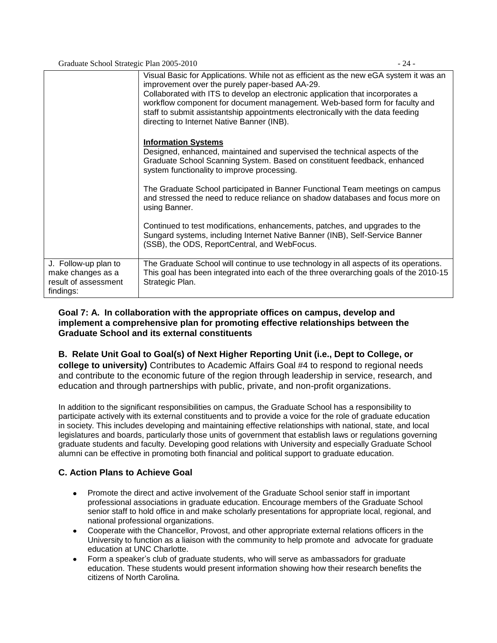Graduate School Strategic Plan 2005-2010 - 24 -

|                                                                                | Visual Basic for Applications. While not as efficient as the new eGA system it was an<br>improvement over the purely paper-based AA-29.<br>Collaborated with ITS to develop an electronic application that incorporates a<br>workflow component for document management. Web-based form for faculty and<br>staff to submit assistantship appointments electronically with the data feeding<br>directing to Internet Native Banner (INB). |
|--------------------------------------------------------------------------------|------------------------------------------------------------------------------------------------------------------------------------------------------------------------------------------------------------------------------------------------------------------------------------------------------------------------------------------------------------------------------------------------------------------------------------------|
|                                                                                | <b>Information Systems</b><br>Designed, enhanced, maintained and supervised the technical aspects of the<br>Graduate School Scanning System. Based on constituent feedback, enhanced<br>system functionality to improve processing.                                                                                                                                                                                                      |
|                                                                                | The Graduate School participated in Banner Functional Team meetings on campus<br>and stressed the need to reduce reliance on shadow databases and focus more on<br>using Banner.                                                                                                                                                                                                                                                         |
|                                                                                | Continued to test modifications, enhancements, patches, and upgrades to the<br>Sungard systems, including Internet Native Banner (INB), Self-Service Banner<br>(SSB), the ODS, ReportCentral, and WebFocus.                                                                                                                                                                                                                              |
| J. Follow-up plan to<br>make changes as a<br>result of assessment<br>findings: | The Graduate School will continue to use technology in all aspects of its operations.<br>This goal has been integrated into each of the three overarching goals of the 2010-15<br>Strategic Plan.                                                                                                                                                                                                                                        |

# **Goal 7: A. In collaboration with the appropriate offices on campus, develop and implement a comprehensive plan for promoting effective relationships between the Graduate School and its external constituents**

# **B. Relate Unit Goal to Goal(s) of Next Higher Reporting Unit (i.e., Dept to College, or**

**college to university)** Contributes to Academic Affairs Goal #4 to respond to regional needs and contribute to the economic future of the region through leadership in service, research, and education and through partnerships with public, private, and non-profit organizations.

In addition to the significant responsibilities on campus, the Graduate School has a responsibility to participate actively with its external constituents and to provide a voice for the role of graduate education in society. This includes developing and maintaining effective relationships with national, state, and local legislatures and boards, particularly those units of government that establish laws or regulations governing graduate students and faculty. Developing good relations with University and especially Graduate School alumni can be effective in promoting both financial and political support to graduate education.

# **C. Action Plans to Achieve Goal**

- Promote the direct and active involvement of the Graduate School senior staff in important professional associations in graduate education. Encourage members of the Graduate School senior staff to hold office in and make scholarly presentations for appropriate local, regional, and national professional organizations.
- Cooperate with the Chancellor, Provost, and other appropriate external relations officers in the University to function as a liaison with the community to help promote and advocate for graduate education at UNC Charlotte.
- Form a speaker's club of graduate students, who will serve as ambassadors for graduate education. These students would present information showing how their research benefits the citizens of North Carolina.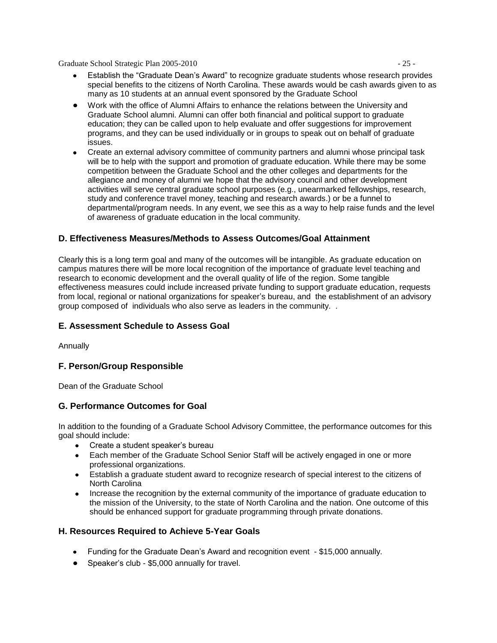Graduate School Strategic Plan 2005-2010 - 25 -

- Establish the "Graduate Dean's Award" to recognize graduate students whose research provides special benefits to the citizens of North Carolina. These awards would be cash awards given to as many as 10 students at an annual event sponsored by the Graduate School
- Work with the office of Alumni Affairs to enhance the relations between the University and Graduate School alumni. Alumni can offer both financial and political support to graduate education; they can be called upon to help evaluate and offer suggestions for improvement programs, and they can be used individually or in groups to speak out on behalf of graduate issues.
- Create an external advisory committee of community partners and alumni whose principal task will be to help with the support and promotion of graduate education. While there may be some competition between the Graduate School and the other colleges and departments for the allegiance and money of alumni we hope that the advisory council and other development activities will serve central graduate school purposes (e.g., unearmarked fellowships, research, study and conference travel money, teaching and research awards.) or be a funnel to departmental/program needs. In any event, we see this as a way to help raise funds and the level of awareness of graduate education in the local community.

### **D. Effectiveness Measures/Methods to Assess Outcomes/Goal Attainment**

Clearly this is a long term goal and many of the outcomes will be intangible. As graduate education on campus matures there will be more local recognition of the importance of graduate level teaching and research to economic development and the overall quality of life of the region. Some tangible effectiveness measures could include increased private funding to support graduate education, requests from local, regional or national organizations for speaker's bureau, and the establishment of an advisory group composed of individuals who also serve as leaders in the community. .

#### **E. Assessment Schedule to Assess Goal**

Annually

#### **F. Person/Group Responsible**

Dean of the Graduate School

#### **G. Performance Outcomes for Goal**

In addition to the founding of a Graduate School Advisory Committee, the performance outcomes for this goal should include:

- Create a student speaker's bureau
- Each member of the Graduate School Senior Staff will be actively engaged in one or more professional organizations.
- Establish a graduate student award to recognize research of special interest to the citizens of North Carolina
- Increase the recognition by the external community of the importance of graduate education to  $\bullet$ the mission of the University, to the state of North Carolina and the nation. One outcome of this should be enhanced support for graduate programming through private donations.

#### **H. Resources Required to Achieve 5-Year Goals**

- Funding for the Graduate Dean's Award and recognition event \$15,000 annually.
- Speaker's club \$5,000 annually for travel.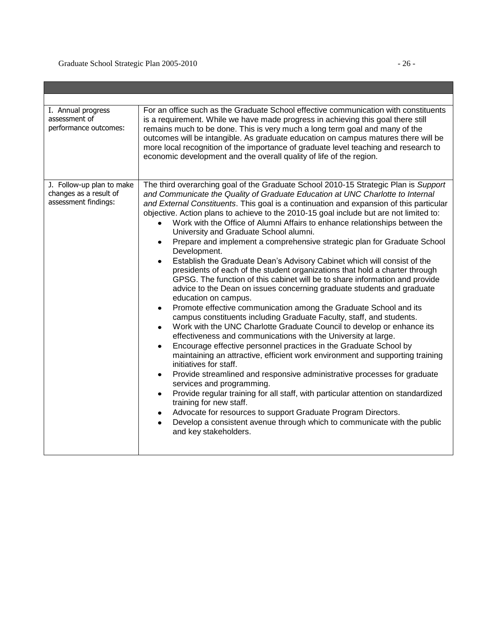| I. Annual progress<br>assessment of<br>performance outcomes:                | For an office such as the Graduate School effective communication with constituents<br>is a requirement. While we have made progress in achieving this goal there still<br>remains much to be done. This is very much a long term goal and many of the<br>outcomes will be intangible. As graduate education on campus matures there will be<br>more local recognition of the importance of graduate level teaching and research to<br>economic development and the overall quality of life of the region.                                                                                                                                                                                                                                                                                                                                                                                                                                                                                                                                                                                                                                                                                                                                                                                                                                                                                                                                                                                                                                                                                                                                                                                                                                                                                                                                                                |
|-----------------------------------------------------------------------------|---------------------------------------------------------------------------------------------------------------------------------------------------------------------------------------------------------------------------------------------------------------------------------------------------------------------------------------------------------------------------------------------------------------------------------------------------------------------------------------------------------------------------------------------------------------------------------------------------------------------------------------------------------------------------------------------------------------------------------------------------------------------------------------------------------------------------------------------------------------------------------------------------------------------------------------------------------------------------------------------------------------------------------------------------------------------------------------------------------------------------------------------------------------------------------------------------------------------------------------------------------------------------------------------------------------------------------------------------------------------------------------------------------------------------------------------------------------------------------------------------------------------------------------------------------------------------------------------------------------------------------------------------------------------------------------------------------------------------------------------------------------------------------------------------------------------------------------------------------------------------|
| J. Follow-up plan to make<br>changes as a result of<br>assessment findings: | The third overarching goal of the Graduate School 2010-15 Strategic Plan is Support<br>and Communicate the Quality of Graduate Education at UNC Charlotte to Internal<br>and External Constituents. This goal is a continuation and expansion of this particular<br>objective. Action plans to achieve to the 2010-15 goal include but are not limited to:<br>Work with the Office of Alumni Affairs to enhance relationships between the<br>University and Graduate School alumni.<br>Prepare and implement a comprehensive strategic plan for Graduate School<br>Development.<br>Establish the Graduate Dean's Advisory Cabinet which will consist of the<br>presidents of each of the student organizations that hold a charter through<br>GPSG. The function of this cabinet will be to share information and provide<br>advice to the Dean on issues concerning graduate students and graduate<br>education on campus.<br>Promote effective communication among the Graduate School and its<br>campus constituents including Graduate Faculty, staff, and students.<br>Work with the UNC Charlotte Graduate Council to develop or enhance its<br>$\bullet$<br>effectiveness and communications with the University at large.<br>Encourage effective personnel practices in the Graduate School by<br>$\bullet$<br>maintaining an attractive, efficient work environment and supporting training<br>initiatives for staff.<br>Provide streamlined and responsive administrative processes for graduate<br>٠<br>services and programming.<br>Provide regular training for all staff, with particular attention on standardized<br>$\bullet$<br>training for new staff.<br>Advocate for resources to support Graduate Program Directors.<br>$\bullet$<br>Develop a consistent avenue through which to communicate with the public<br>$\bullet$<br>and key stakeholders. |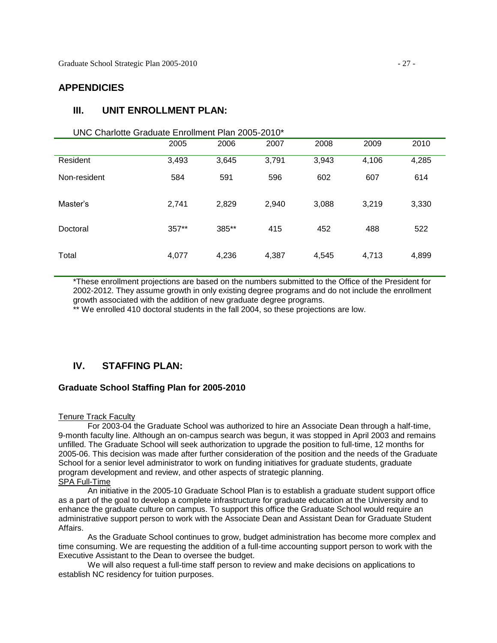# **APPENDICIES**

# **III. UNIT ENROLLMENT PLAN:**

#### UNC Charlotte Graduate Enrollment Plan 2005-2010\*

|              | 2005  | 2006  | 2007  | 2008  | 2009  | 2010  |
|--------------|-------|-------|-------|-------|-------|-------|
| Resident     | 3,493 | 3,645 | 3,791 | 3,943 | 4,106 | 4,285 |
| Non-resident | 584   | 591   | 596   | 602   | 607   | 614   |
| Master's     | 2,741 | 2,829 | 2,940 | 3,088 | 3,219 | 3,330 |
| Doctoral     | 357** | 385** | 415   | 452   | 488   | 522   |
| Total        | 4,077 | 4,236 | 4,387 | 4,545 | 4,713 | 4,899 |

\*These enrollment projections are based on the numbers submitted to the Office of the President for 2002-2012. They assume growth in only existing degree programs and do not include the enrollment growth associated with the addition of new graduate degree programs.

\*\* We enrolled 410 doctoral students in the fall 2004, so these projections are low.

# **IV. STAFFING PLAN:**

#### **Graduate School Staffing Plan for 2005-2010**

#### Tenure Track Faculty

For 2003-04 the Graduate School was authorized to hire an Associate Dean through a half-time, 9-month faculty line. Although an on-campus search was begun, it was stopped in April 2003 and remains unfilled. The Graduate School will seek authorization to upgrade the position to full-time, 12 months for 2005-06. This decision was made after further consideration of the position and the needs of the Graduate School for a senior level administrator to work on funding initiatives for graduate students, graduate program development and review, and other aspects of strategic planning. SPA Full-Time

An initiative in the 2005-10 Graduate School Plan is to establish a graduate student support office as a part of the goal to develop a complete infrastructure for graduate education at the University and to enhance the graduate culture on campus. To support this office the Graduate School would require an administrative support person to work with the Associate Dean and Assistant Dean for Graduate Student Affairs.

As the Graduate School continues to grow, budget administration has become more complex and time consuming. We are requesting the addition of a full-time accounting support person to work with the Executive Assistant to the Dean to oversee the budget.

We will also request a full-time staff person to review and make decisions on applications to establish NC residency for tuition purposes.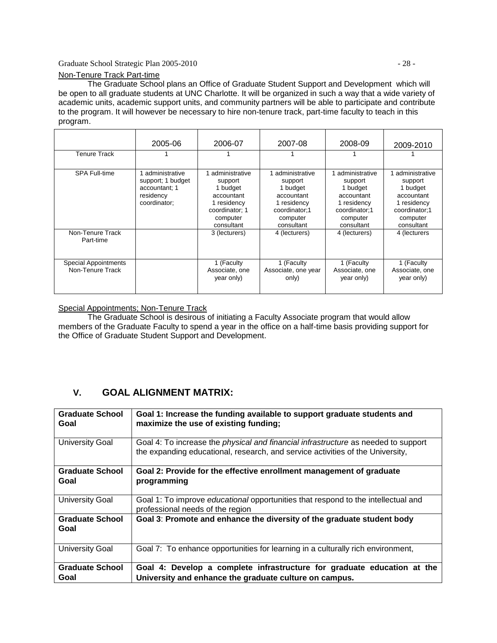#### Graduate School Strategic Plan 2005-2010 - 28 -

The Graduate School plans an Office of Graduate Student Support and Developmentwhich will be open to all graduate students at UNC Charlotte. It will be organized in such a way that a wide variety of academic units, academic support units, and community partners will be able to participate and contribute to the program. It will however be necessary to hire non-tenure track, part-time faculty to teach in this program.

|                                                 | 2005-06                                                                           | 2006-07                                                                                                        | 2007-08                                                                                                       | 2008-09                                                                                                       | 2009-2010                                                                                                     |
|-------------------------------------------------|-----------------------------------------------------------------------------------|----------------------------------------------------------------------------------------------------------------|---------------------------------------------------------------------------------------------------------------|---------------------------------------------------------------------------------------------------------------|---------------------------------------------------------------------------------------------------------------|
| Tenure Track                                    |                                                                                   |                                                                                                                |                                                                                                               |                                                                                                               |                                                                                                               |
| SPA Full-time                                   | administrative<br>support; 1 budget<br>accountant; 1<br>residency<br>coordinator; | administrative<br>support<br>1 budget<br>accountant<br>1 residency<br>coordinator; 1<br>computer<br>consultant | administrative<br>support<br>1 budget<br>accountant<br>1 residency<br>coordinator:1<br>computer<br>consultant | administrative<br>support<br>1 budget<br>accountant<br>1 residency<br>coordinator:1<br>computer<br>consultant | administrative<br>support<br>1 budget<br>accountant<br>1 residency<br>coordinator:1<br>computer<br>consultant |
| Non-Tenure Track<br>Part-time                   |                                                                                   | 3 (lecturers)                                                                                                  | 4 (lecturers)                                                                                                 | 4 (lecturers)                                                                                                 | 4 (lecturers                                                                                                  |
| <b>Special Appointments</b><br>Non-Tenure Track |                                                                                   | 1 (Faculty<br>Associate, one<br>year only)                                                                     | 1 (Faculty<br>Associate, one year<br>only)                                                                    | 1 (Faculty<br>Associate, one<br>year only)                                                                    | 1 (Faculty<br>Associate, one<br>year only)                                                                    |

Special Appointments; Non-Tenure Track

The Graduate School is desirous of initiating a Faculty Associate program that would allow members of the Graduate Faculty to spend a year in the office on a half-time basis providing support for the Office of Graduate Student Support and Development.

# **V. GOAL ALIGNMENT MATRIX:**

| <b>Graduate School</b><br>Goal | Goal 1: Increase the funding available to support graduate students and<br>maximize the use of existing funding;                                                            |
|--------------------------------|-----------------------------------------------------------------------------------------------------------------------------------------------------------------------------|
| <b>University Goal</b>         | Goal 4: To increase the <i>physical and financial infrastructure</i> as needed to support<br>the expanding educational, research, and service activities of the University, |
| <b>Graduate School</b><br>Goal | Goal 2: Provide for the effective enrollment management of graduate<br>programming                                                                                          |
| <b>University Goal</b>         | Goal 1: To improve <i>educational</i> opportunities that respond to the intellectual and<br>professional needs of the region                                                |
| <b>Graduate School</b><br>Goal | Goal 3: Promote and enhance the diversity of the graduate student body                                                                                                      |
| <b>University Goal</b>         | Goal 7: To enhance opportunities for learning in a culturally rich environment,                                                                                             |
| <b>Graduate School</b>         | Goal 4: Develop a complete infrastructure for graduate education at the                                                                                                     |
| Goal                           | University and enhance the graduate culture on campus.                                                                                                                      |